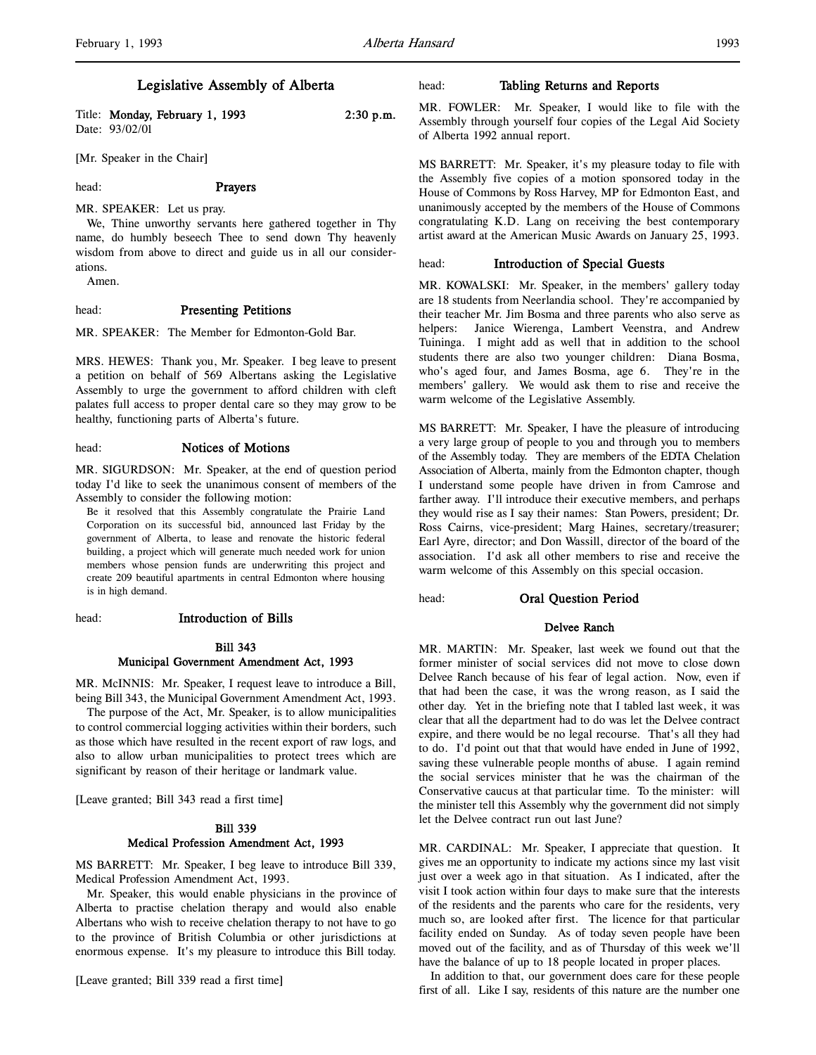# Legislative Assembly of Alberta

Title: Monday, February 1, 1993 2:30 p.m. Date: 93/02/01

[Mr. Speaker in the Chair]

l,

# head: **Prayers**

MR. SPEAKER: Let us pray.

We, Thine unworthy servants here gathered together in Thy name, do humbly beseech Thee to send down Thy heavenly wisdom from above to direct and guide us in all our considerations.

Amen.

#### head: Presenting Petitions

MR. SPEAKER: The Member for Edmonton-Gold Bar.

MRS. HEWES: Thank you, Mr. Speaker. I beg leave to present a petition on behalf of 569 Albertans asking the Legislative Assembly to urge the government to afford children with cleft palates full access to proper dental care so they may grow to be healthy, functioning parts of Alberta's future.

head: Notices of Motions

MR. SIGURDSON: Mr. Speaker, at the end of question period today I'd like to seek the unanimous consent of members of the Assembly to consider the following motion:

Be it resolved that this Assembly congratulate the Prairie Land Corporation on its successful bid, announced last Friday by the government of Alberta, to lease and renovate the historic federal building, a project which will generate much needed work for union members whose pension funds are underwriting this project and create 209 beautiful apartments in central Edmonton where housing is in high demand.

# head: Introduction of Bills

# Bill 343 Municipal Government Amendment Act, 1993

MR. McINNIS: Mr. Speaker, I request leave to introduce a Bill, being Bill 343, the Municipal Government Amendment Act, 1993.

The purpose of the Act, Mr. Speaker, is to allow municipalities to control commercial logging activities within their borders, such as those which have resulted in the recent export of raw logs, and also to allow urban municipalities to protect trees which are significant by reason of their heritage or landmark value.

[Leave granted; Bill 343 read a first time]

# Bill 339 Medical Profession Amendment Act, 1993

MS BARRETT: Mr. Speaker, I beg leave to introduce Bill 339, Medical Profession Amendment Act, 1993.

Mr. Speaker, this would enable physicians in the province of Alberta to practise chelation therapy and would also enable Albertans who wish to receive chelation therapy to not have to go to the province of British Columbia or other jurisdictions at enormous expense. It's my pleasure to introduce this Bill today.

[Leave granted; Bill 339 read a first time]

## head: Tabling Returns and Reports

MR. FOWLER: Mr. Speaker, I would like to file with the Assembly through yourself four copies of the Legal Aid Society of Alberta 1992 annual report.

MS BARRETT: Mr. Speaker, it's my pleasure today to file with the Assembly five copies of a motion sponsored today in the House of Commons by Ross Harvey, MP for Edmonton East, and unanimously accepted by the members of the House of Commons congratulating K.D. Lang on receiving the best contemporary artist award at the American Music Awards on January 25, 1993.

# head: Introduction of Special Guests

MR. KOWALSKI: Mr. Speaker, in the members' gallery today are 18 students from Neerlandia school. They're accompanied by their teacher Mr. Jim Bosma and three parents who also serve as helpers: Janice Wierenga, Lambert Veenstra, and Andrew Tuininga. I might add as well that in addition to the school students there are also two younger children: Diana Bosma, who's aged four, and James Bosma, age 6. They're in the members' gallery. We would ask them to rise and receive the warm welcome of the Legislative Assembly.

MS BARRETT: Mr. Speaker, I have the pleasure of introducing a very large group of people to you and through you to members of the Assembly today. They are members of the EDTA Chelation Association of Alberta, mainly from the Edmonton chapter, though I understand some people have driven in from Camrose and farther away. I'll introduce their executive members, and perhaps they would rise as I say their names: Stan Powers, president; Dr. Ross Cairns, vice-president; Marg Haines, secretary/treasurer; Earl Ayre, director; and Don Wassill, director of the board of the association. I'd ask all other members to rise and receive the warm welcome of this Assembly on this special occasion.

head: Oral Question Period

# Delvee Ranch

MR. MARTIN: Mr. Speaker, last week we found out that the former minister of social services did not move to close down Delvee Ranch because of his fear of legal action. Now, even if that had been the case, it was the wrong reason, as I said the other day. Yet in the briefing note that I tabled last week, it was clear that all the department had to do was let the Delvee contract expire, and there would be no legal recourse. That's all they had to do. I'd point out that that would have ended in June of 1992, saving these vulnerable people months of abuse. I again remind the social services minister that he was the chairman of the Conservative caucus at that particular time. To the minister: will the minister tell this Assembly why the government did not simply let the Delvee contract run out last June?

MR. CARDINAL: Mr. Speaker, I appreciate that question. It gives me an opportunity to indicate my actions since my last visit just over a week ago in that situation. As I indicated, after the visit I took action within four days to make sure that the interests of the residents and the parents who care for the residents, very much so, are looked after first. The licence for that particular facility ended on Sunday. As of today seven people have been moved out of the facility, and as of Thursday of this week we'll have the balance of up to 18 people located in proper places.

In addition to that, our government does care for these people first of all. Like I say, residents of this nature are the number one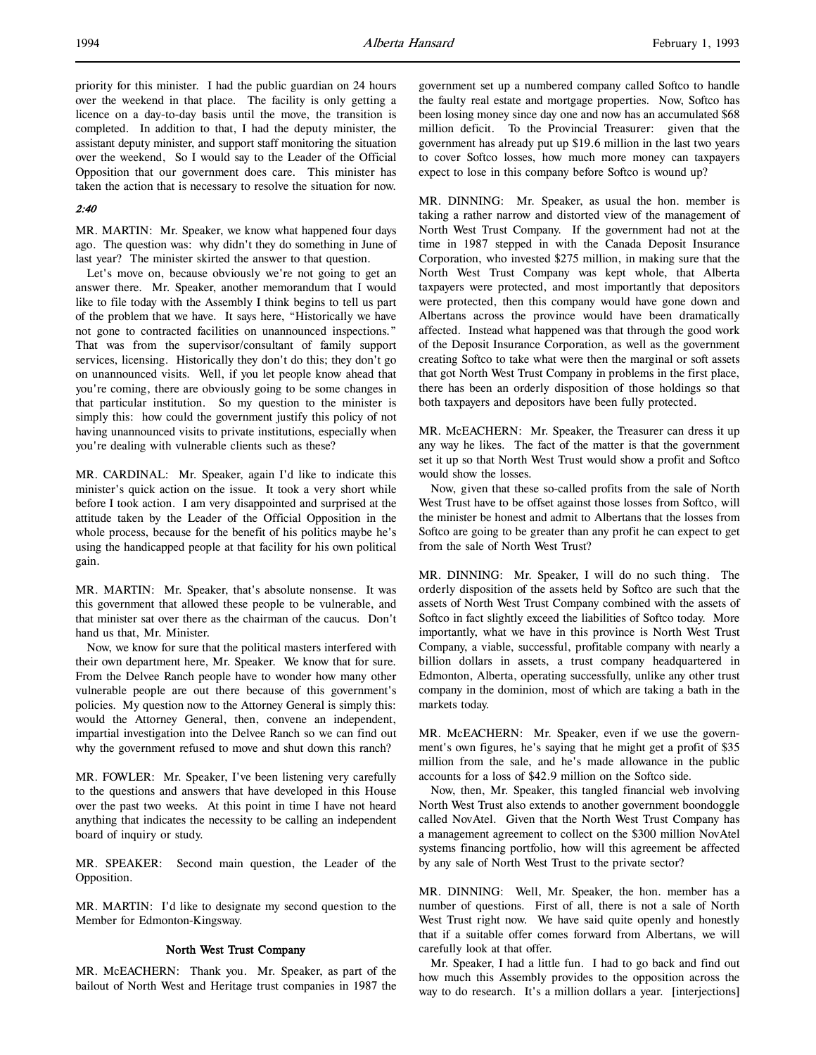priority for this minister. I had the public guardian on 24 hours over the weekend in that place. The facility is only getting a licence on a day-to-day basis until the move, the transition is completed. In addition to that, I had the deputy minister, the assistant deputy minister, and support staff monitoring the situation over the weekend, So I would say to the Leader of the Official Opposition that our government does care. This minister has taken the action that is necessary to resolve the situation for now.

# 2:40

MR. MARTIN: Mr. Speaker, we know what happened four days ago. The question was: why didn't they do something in June of last year? The minister skirted the answer to that question.

Let's move on, because obviously we're not going to get an answer there. Mr. Speaker, another memorandum that I would like to file today with the Assembly I think begins to tell us part of the problem that we have. It says here, "Historically we have not gone to contracted facilities on unannounced inspections." That was from the supervisor/consultant of family support services, licensing. Historically they don't do this; they don't go on unannounced visits. Well, if you let people know ahead that you're coming, there are obviously going to be some changes in that particular institution. So my question to the minister is simply this: how could the government justify this policy of not having unannounced visits to private institutions, especially when you're dealing with vulnerable clients such as these?

MR. CARDINAL: Mr. Speaker, again I'd like to indicate this minister's quick action on the issue. It took a very short while before I took action. I am very disappointed and surprised at the attitude taken by the Leader of the Official Opposition in the whole process, because for the benefit of his politics maybe he's using the handicapped people at that facility for his own political gain.

MR. MARTIN: Mr. Speaker, that's absolute nonsense. It was this government that allowed these people to be vulnerable, and that minister sat over there as the chairman of the caucus. Don't hand us that, Mr. Minister.

Now, we know for sure that the political masters interfered with their own department here, Mr. Speaker. We know that for sure. From the Delvee Ranch people have to wonder how many other vulnerable people are out there because of this government's policies. My question now to the Attorney General is simply this: would the Attorney General, then, convene an independent, impartial investigation into the Delvee Ranch so we can find out why the government refused to move and shut down this ranch?

MR. FOWLER: Mr. Speaker, I've been listening very carefully to the questions and answers that have developed in this House over the past two weeks. At this point in time I have not heard anything that indicates the necessity to be calling an independent board of inquiry or study.

MR. SPEAKER: Second main question, the Leader of the Opposition.

MR. MARTIN: I'd like to designate my second question to the Member for Edmonton-Kingsway.

# North West Trust Company

MR. McEACHERN: Thank you. Mr. Speaker, as part of the bailout of North West and Heritage trust companies in 1987 the government set up a numbered company called Softco to handle the faulty real estate and mortgage properties. Now, Softco has been losing money since day one and now has an accumulated \$68 million deficit. To the Provincial Treasurer: given that the government has already put up \$19.6 million in the last two years to cover Softco losses, how much more money can taxpayers expect to lose in this company before Softco is wound up?

MR. DINNING: Mr. Speaker, as usual the hon. member is taking a rather narrow and distorted view of the management of North West Trust Company. If the government had not at the time in 1987 stepped in with the Canada Deposit Insurance Corporation, who invested \$275 million, in making sure that the North West Trust Company was kept whole, that Alberta taxpayers were protected, and most importantly that depositors were protected, then this company would have gone down and Albertans across the province would have been dramatically affected. Instead what happened was that through the good work of the Deposit Insurance Corporation, as well as the government creating Softco to take what were then the marginal or soft assets that got North West Trust Company in problems in the first place, there has been an orderly disposition of those holdings so that both taxpayers and depositors have been fully protected.

MR. McEACHERN: Mr. Speaker, the Treasurer can dress it up any way he likes. The fact of the matter is that the government set it up so that North West Trust would show a profit and Softco would show the losses.

Now, given that these so-called profits from the sale of North West Trust have to be offset against those losses from Softco, will the minister be honest and admit to Albertans that the losses from Softco are going to be greater than any profit he can expect to get from the sale of North West Trust?

MR. DINNING: Mr. Speaker, I will do no such thing. The orderly disposition of the assets held by Softco are such that the assets of North West Trust Company combined with the assets of Softco in fact slightly exceed the liabilities of Softco today. More importantly, what we have in this province is North West Trust Company, a viable, successful, profitable company with nearly a billion dollars in assets, a trust company headquartered in Edmonton, Alberta, operating successfully, unlike any other trust company in the dominion, most of which are taking a bath in the markets today.

MR. McEACHERN: Mr. Speaker, even if we use the government's own figures, he's saying that he might get a profit of \$35 million from the sale, and he's made allowance in the public accounts for a loss of \$42.9 million on the Softco side.

Now, then, Mr. Speaker, this tangled financial web involving North West Trust also extends to another government boondoggle called NovAtel. Given that the North West Trust Company has a management agreement to collect on the \$300 million NovAtel systems financing portfolio, how will this agreement be affected by any sale of North West Trust to the private sector?

MR. DINNING: Well, Mr. Speaker, the hon. member has a number of questions. First of all, there is not a sale of North West Trust right now. We have said quite openly and honestly that if a suitable offer comes forward from Albertans, we will carefully look at that offer.

Mr. Speaker, I had a little fun. I had to go back and find out how much this Assembly provides to the opposition across the way to do research. It's a million dollars a year. [interjections]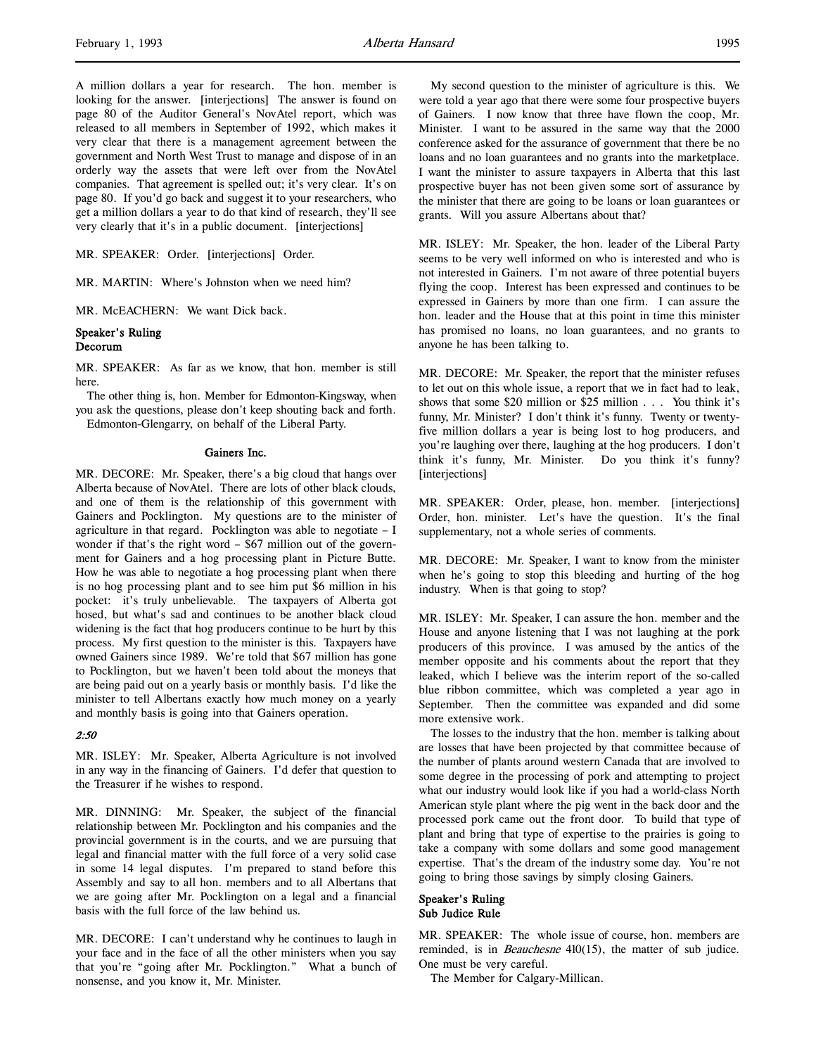A million dollars a year for research. The hon. member is looking for the answer. [interjections] The answer is found on page 80 of the Auditor General's NovAtel report, which was released to all members in September of 1992, which makes it very clear that there is a management agreement between the government and North West Trust to manage and dispose of in an orderly way the assets that were left over from the NovAtel companies. That agreement is spelled out; it's very clear. It's on page 80. If you'd go back and suggest it to your researchers, who get a million dollars a year to do that kind of research, they'll see very clearly that it's in a public document. [interjections]

MR. SPEAKER: Order. [interjections] Order.

MR. MARTIN: Where's Johnston when we need him?

MR. McEACHERN: We want Dick back.

#### Speaker's Ruling Decorum

MR. SPEAKER: As far as we know, that hon. member is still here.

The other thing is, hon. Member for Edmonton-Kingsway, when you ask the questions, please don't keep shouting back and forth.

Edmonton-Glengarry, on behalf of the Liberal Party.

#### Gainers Inc.

MR. DECORE: Mr. Speaker, there's a big cloud that hangs over Alberta because of NovAtel. There are lots of other black clouds, and one of them is the relationship of this government with Gainers and Pocklington. My questions are to the minister of agriculture in that regard. Pocklington was able to negotiate  $-1$ wonder if that's the right word – \$67 million out of the government for Gainers and a hog processing plant in Picture Butte. How he was able to negotiate a hog processing plant when there is no hog processing plant and to see him put \$6 million in his pocket: it's truly unbelievable. The taxpayers of Alberta got hosed, but what's sad and continues to be another black cloud widening is the fact that hog producers continue to be hurt by this process. My first question to the minister is this. Taxpayers have owned Gainers since 1989. We're told that \$67 million has gone to Pocklington, but we haven't been told about the moneys that are being paid out on a yearly basis or monthly basis. I'd like the minister to tell Albertans exactly how much money on a yearly and monthly basis is going into that Gainers operation.

## 2:50

MR. ISLEY: Mr. Speaker, Alberta Agriculture is not involved in any way in the financing of Gainers. I'd defer that question to the Treasurer if he wishes to respond.

MR. DINNING: Mr. Speaker, the subject of the financial relationship between Mr. Pocklington and his companies and the provincial government is in the courts, and we are pursuing that legal and financial matter with the full force of a very solid case in some 14 legal disputes. I'm prepared to stand before this Assembly and say to all hon. members and to all Albertans that we are going after Mr. Pocklington on a legal and a financial basis with the full force of the law behind us.

MR. DECORE: I can't understand why he continues to laugh in your face and in the face of all the other ministers when you say that you're "going after Mr. Pocklington." What a bunch of nonsense, and you know it, Mr. Minister.

My second question to the minister of agriculture is this. We were told a year ago that there were some four prospective buyers of Gainers. I now know that three have flown the coop, Mr. Minister. I want to be assured in the same way that the 2000 conference asked for the assurance of government that there be no loans and no loan guarantees and no grants into the marketplace. I want the minister to assure taxpayers in Alberta that this last prospective buyer has not been given some sort of assurance by the minister that there are going to be loans or loan guarantees or grants. Will you assure Albertans about that?

MR. ISLEY: Mr. Speaker, the hon. leader of the Liberal Party seems to be very well informed on who is interested and who is not interested in Gainers. I'm not aware of three potential buyers flying the coop. Interest has been expressed and continues to be expressed in Gainers by more than one firm. I can assure the hon. leader and the House that at this point in time this minister has promised no loans, no loan guarantees, and no grants to anyone he has been talking to.

MR. DECORE: Mr. Speaker, the report that the minister refuses to let out on this whole issue, a report that we in fact had to leak, shows that some \$20 million or \$25 million . . . You think it's funny, Mr. Minister? I don't think it's funny. Twenty or twentyfive million dollars a year is being lost to hog producers, and you're laughing over there, laughing at the hog producers. I don't think it's funny, Mr. Minister. Do you think it's funny? [interjections]

MR. SPEAKER: Order, please, hon. member. [interjections] Order, hon. minister. Let's have the question. It's the final supplementary, not a whole series of comments.

MR. DECORE: Mr. Speaker, I want to know from the minister when he's going to stop this bleeding and hurting of the hog industry. When is that going to stop?

MR. ISLEY: Mr. Speaker, I can assure the hon. member and the House and anyone listening that I was not laughing at the pork producers of this province. I was amused by the antics of the member opposite and his comments about the report that they leaked, which I believe was the interim report of the so-called blue ribbon committee, which was completed a year ago in September. Then the committee was expanded and did some more extensive work.

The losses to the industry that the hon. member is talking about are losses that have been projected by that committee because of the number of plants around western Canada that are involved to some degree in the processing of pork and attempting to project what our industry would look like if you had a world-class North American style plant where the pig went in the back door and the processed pork came out the front door. To build that type of plant and bring that type of expertise to the prairies is going to take a company with some dollars and some good management expertise. That's the dream of the industry some day. You're not going to bring those savings by simply closing Gainers.

# Speaker's Ruling Sub Judice Rule

MR. SPEAKER: The whole issue of course, hon. members are reminded, is in *Beauchesne* 410(15), the matter of sub judice. One must be very careful.

The Member for Calgary-Millican.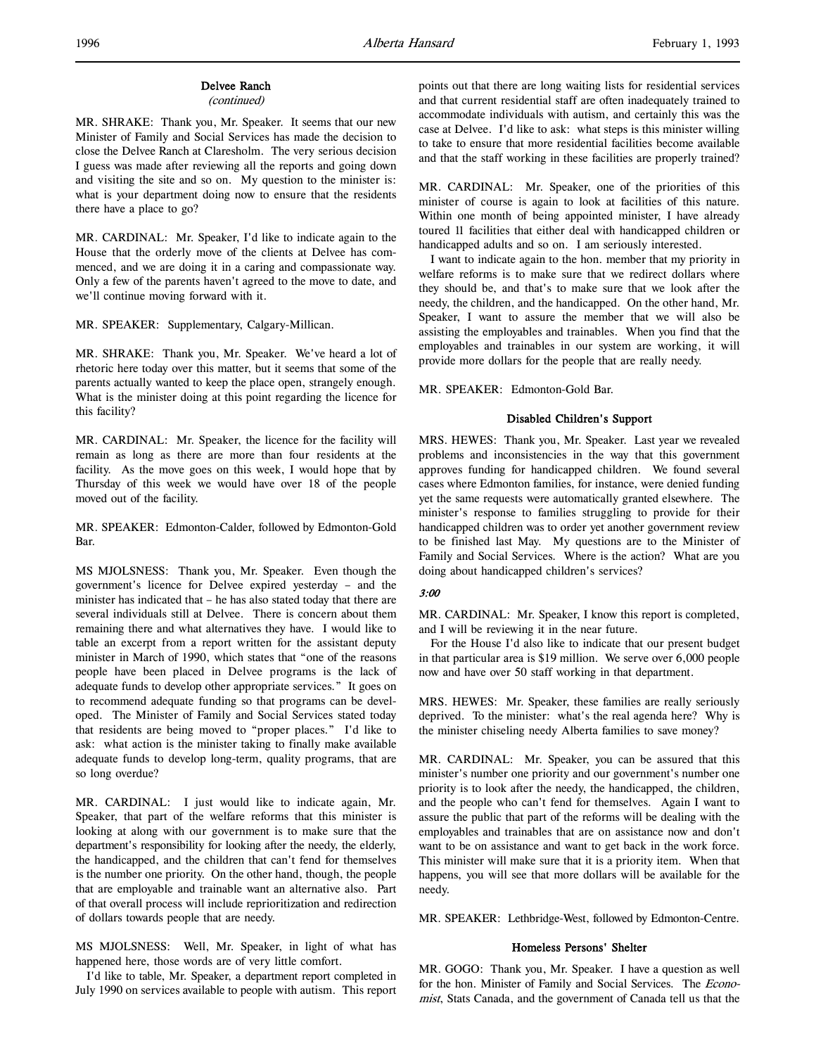# Delvee Ranch

# (continued)

MR. SHRAKE: Thank you, Mr. Speaker. It seems that our new Minister of Family and Social Services has made the decision to close the Delvee Ranch at Claresholm. The very serious decision I guess was made after reviewing all the reports and going down and visiting the site and so on. My question to the minister is: what is your department doing now to ensure that the residents there have a place to go?

MR. CARDINAL: Mr. Speaker, I'd like to indicate again to the House that the orderly move of the clients at Delvee has commenced, and we are doing it in a caring and compassionate way. Only a few of the parents haven't agreed to the move to date, and we'll continue moving forward with it.

MR. SPEAKER: Supplementary, Calgary-Millican.

MR. SHRAKE: Thank you, Mr. Speaker. We've heard a lot of rhetoric here today over this matter, but it seems that some of the parents actually wanted to keep the place open, strangely enough. What is the minister doing at this point regarding the licence for this facility?

MR. CARDINAL: Mr. Speaker, the licence for the facility will remain as long as there are more than four residents at the facility. As the move goes on this week, I would hope that by Thursday of this week we would have over 18 of the people moved out of the facility.

MR. SPEAKER: Edmonton-Calder, followed by Edmonton-Gold Bar.

MS MJOLSNESS: Thank you, Mr. Speaker. Even though the government's licence for Delvee expired yesterday – and the minister has indicated that – he has also stated today that there are several individuals still at Delvee. There is concern about them remaining there and what alternatives they have. I would like to table an excerpt from a report written for the assistant deputy minister in March of 1990, which states that "one of the reasons people have been placed in Delvee programs is the lack of adequate funds to develop other appropriate services." It goes on to recommend adequate funding so that programs can be developed. The Minister of Family and Social Services stated today that residents are being moved to "proper places." I'd like to ask: what action is the minister taking to finally make available adequate funds to develop long-term, quality programs, that are so long overdue?

MR. CARDINAL: I just would like to indicate again, Mr. Speaker, that part of the welfare reforms that this minister is looking at along with our government is to make sure that the department's responsibility for looking after the needy, the elderly, the handicapped, and the children that can't fend for themselves is the number one priority. On the other hand, though, the people that are employable and trainable want an alternative also. Part of that overall process will include reprioritization and redirection of dollars towards people that are needy.

MS MJOLSNESS: Well, Mr. Speaker, in light of what has happened here, those words are of very little comfort.

I'd like to table, Mr. Speaker, a department report completed in July 1990 on services available to people with autism. This report

points out that there are long waiting lists for residential services and that current residential staff are often inadequately trained to accommodate individuals with autism, and certainly this was the case at Delvee. I'd like to ask: what steps is this minister willing to take to ensure that more residential facilities become available and that the staff working in these facilities are properly trained?

MR. CARDINAL: Mr. Speaker, one of the priorities of this minister of course is again to look at facilities of this nature. Within one month of being appointed minister, I have already toured 11 facilities that either deal with handicapped children or handicapped adults and so on. I am seriously interested.

I want to indicate again to the hon. member that my priority in welfare reforms is to make sure that we redirect dollars where they should be, and that's to make sure that we look after the needy, the children, and the handicapped. On the other hand, Mr. Speaker, I want to assure the member that we will also be assisting the employables and trainables. When you find that the employables and trainables in our system are working, it will provide more dollars for the people that are really needy.

MR. SPEAKER: Edmonton-Gold Bar.

# Disabled Children's Support

MRS. HEWES: Thank you, Mr. Speaker. Last year we revealed problems and inconsistencies in the way that this government approves funding for handicapped children. We found several cases where Edmonton families, for instance, were denied funding yet the same requests were automatically granted elsewhere. The minister's response to families struggling to provide for their handicapped children was to order yet another government review to be finished last May. My questions are to the Minister of Family and Social Services. Where is the action? What are you doing about handicapped children's services?

# 3:00

MR. CARDINAL: Mr. Speaker, I know this report is completed, and I will be reviewing it in the near future.

For the House I'd also like to indicate that our present budget in that particular area is \$19 million. We serve over 6,000 people now and have over 50 staff working in that department.

MRS. HEWES: Mr. Speaker, these families are really seriously deprived. To the minister: what's the real agenda here? Why is the minister chiseling needy Alberta families to save money?

MR. CARDINAL: Mr. Speaker, you can be assured that this minister's number one priority and our government's number one priority is to look after the needy, the handicapped, the children, and the people who can't fend for themselves. Again I want to assure the public that part of the reforms will be dealing with the employables and trainables that are on assistance now and don't want to be on assistance and want to get back in the work force. This minister will make sure that it is a priority item. When that happens, you will see that more dollars will be available for the needy.

MR. SPEAKER: Lethbridge-West, followed by Edmonton-Centre.

#### Homeless Persons' Shelter

MR. GOGO: Thank you, Mr. Speaker. I have a question as well for the hon. Minister of Family and Social Services. The Economist, Stats Canada, and the government of Canada tell us that the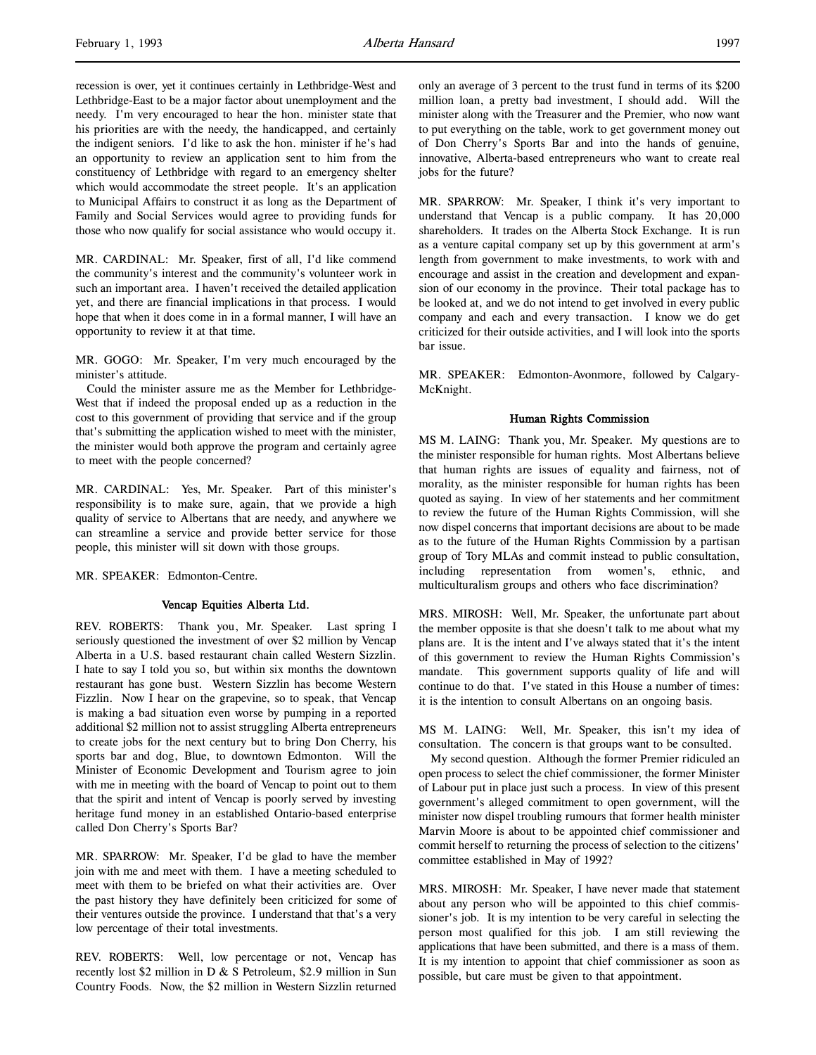recession is over, yet it continues certainly in Lethbridge-West and Lethbridge-East to be a major factor about unemployment and the needy. I'm very encouraged to hear the hon. minister state that his priorities are with the needy, the handicapped, and certainly the indigent seniors. I'd like to ask the hon. minister if he's had an opportunity to review an application sent to him from the constituency of Lethbridge with regard to an emergency shelter which would accommodate the street people. It's an application to Municipal Affairs to construct it as long as the Department of Family and Social Services would agree to providing funds for those who now qualify for social assistance who would occupy it.

MR. CARDINAL: Mr. Speaker, first of all, I'd like commend the community's interest and the community's volunteer work in such an important area. I haven't received the detailed application yet, and there are financial implications in that process. I would hope that when it does come in in a formal manner, I will have an opportunity to review it at that time.

MR. GOGO: Mr. Speaker, I'm very much encouraged by the minister's attitude.

Could the minister assure me as the Member for Lethbridge-West that if indeed the proposal ended up as a reduction in the cost to this government of providing that service and if the group that's submitting the application wished to meet with the minister, the minister would both approve the program and certainly agree to meet with the people concerned?

MR. CARDINAL: Yes, Mr. Speaker. Part of this minister's responsibility is to make sure, again, that we provide a high quality of service to Albertans that are needy, and anywhere we can streamline a service and provide better service for those people, this minister will sit down with those groups.

MR. SPEAKER: Edmonton-Centre.

#### Vencap Equities Alberta Ltd.

REV. ROBERTS: Thank you, Mr. Speaker. Last spring I seriously questioned the investment of over \$2 million by Vencap Alberta in a U.S. based restaurant chain called Western Sizzlin. I hate to say I told you so, but within six months the downtown restaurant has gone bust. Western Sizzlin has become Western Fizzlin. Now I hear on the grapevine, so to speak, that Vencap is making a bad situation even worse by pumping in a reported additional \$2 million not to assist struggling Alberta entrepreneurs to create jobs for the next century but to bring Don Cherry, his sports bar and dog, Blue, to downtown Edmonton. Will the Minister of Economic Development and Tourism agree to join with me in meeting with the board of Vencap to point out to them that the spirit and intent of Vencap is poorly served by investing heritage fund money in an established Ontario-based enterprise called Don Cherry's Sports Bar?

MR. SPARROW: Mr. Speaker, I'd be glad to have the member join with me and meet with them. I have a meeting scheduled to meet with them to be briefed on what their activities are. Over the past history they have definitely been criticized for some of their ventures outside the province. I understand that that's a very low percentage of their total investments.

REV. ROBERTS: Well, low percentage or not, Vencap has recently lost \$2 million in D & S Petroleum, \$2.9 million in Sun Country Foods. Now, the \$2 million in Western Sizzlin returned

only an average of 3 percent to the trust fund in terms of its \$200 million loan, a pretty bad investment, I should add. Will the minister along with the Treasurer and the Premier, who now want to put everything on the table, work to get government money out of Don Cherry's Sports Bar and into the hands of genuine, innovative, Alberta-based entrepreneurs who want to create real jobs for the future?

MR. SPARROW: Mr. Speaker, I think it's very important to understand that Vencap is a public company. It has 20,000 shareholders. It trades on the Alberta Stock Exchange. It is run as a venture capital company set up by this government at arm's length from government to make investments, to work with and encourage and assist in the creation and development and expansion of our economy in the province. Their total package has to be looked at, and we do not intend to get involved in every public company and each and every transaction. I know we do get criticized for their outside activities, and I will look into the sports bar issue.

MR. SPEAKER: Edmonton-Avonmore, followed by Calgary-McKnight.

# Human Rights Commission

MS M. LAING: Thank you, Mr. Speaker. My questions are to the minister responsible for human rights. Most Albertans believe that human rights are issues of equality and fairness, not of morality, as the minister responsible for human rights has been quoted as saying. In view of her statements and her commitment to review the future of the Human Rights Commission, will she now dispel concerns that important decisions are about to be made as to the future of the Human Rights Commission by a partisan group of Tory MLAs and commit instead to public consultation, including representation from women's, ethnic, and multiculturalism groups and others who face discrimination?

MRS. MIROSH: Well, Mr. Speaker, the unfortunate part about the member opposite is that she doesn't talk to me about what my plans are. It is the intent and I've always stated that it's the intent of this government to review the Human Rights Commission's mandate. This government supports quality of life and will continue to do that. I've stated in this House a number of times: it is the intention to consult Albertans on an ongoing basis.

MS M. LAING: Well, Mr. Speaker, this isn't my idea of consultation. The concern is that groups want to be consulted.

My second question. Although the former Premier ridiculed an open process to select the chief commissioner, the former Minister of Labour put in place just such a process. In view of this present government's alleged commitment to open government, will the minister now dispel troubling rumours that former health minister Marvin Moore is about to be appointed chief commissioner and commit herself to returning the process of selection to the citizens' committee established in May of 1992?

MRS. MIROSH: Mr. Speaker, I have never made that statement about any person who will be appointed to this chief commissioner's job. It is my intention to be very careful in selecting the person most qualified for this job. I am still reviewing the applications that have been submitted, and there is a mass of them. It is my intention to appoint that chief commissioner as soon as possible, but care must be given to that appointment.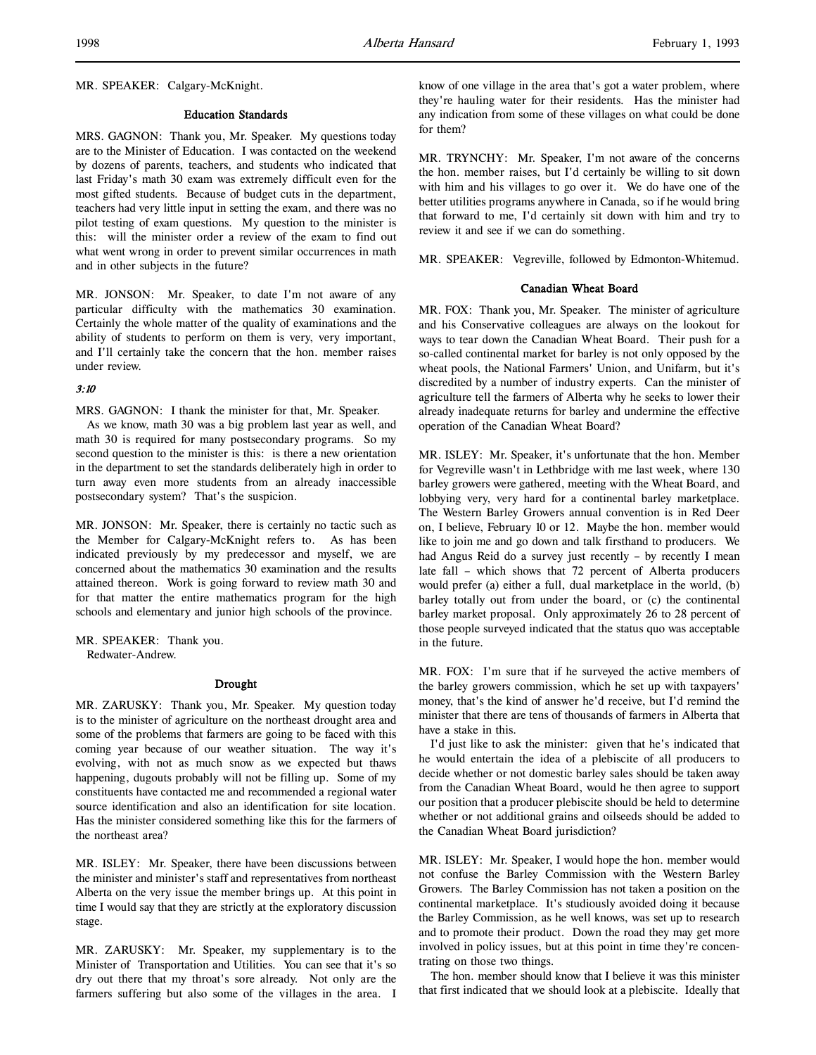MR. SPEAKER: Calgary-McKnight.

## Education Standards

MRS. GAGNON: Thank you, Mr. Speaker. My questions today are to the Minister of Education. I was contacted on the weekend by dozens of parents, teachers, and students who indicated that last Friday's math 30 exam was extremely difficult even for the most gifted students. Because of budget cuts in the department, teachers had very little input in setting the exam, and there was no pilot testing of exam questions. My question to the minister is this: will the minister order a review of the exam to find out what went wrong in order to prevent similar occurrences in math and in other subjects in the future?

MR. JONSON: Mr. Speaker, to date I'm not aware of any particular difficulty with the mathematics 30 examination. Certainly the whole matter of the quality of examinations and the ability of students to perform on them is very, very important, and I'll certainly take the concern that the hon. member raises under review.

## 3:10

MRS. GAGNON: I thank the minister for that, Mr. Speaker.

As we know, math 30 was a big problem last year as well, and math 30 is required for many postsecondary programs. So my second question to the minister is this: is there a new orientation in the department to set the standards deliberately high in order to turn away even more students from an already inaccessible postsecondary system? That's the suspicion.

MR. JONSON: Mr. Speaker, there is certainly no tactic such as the Member for Calgary-McKnight refers to. As has been indicated previously by my predecessor and myself, we are concerned about the mathematics 30 examination and the results attained thereon. Work is going forward to review math 30 and for that matter the entire mathematics program for the high schools and elementary and junior high schools of the province.

MR. SPEAKER: Thank you.

Redwater-Andrew.

#### Drought

MR. ZARUSKY: Thank you, Mr. Speaker. My question today is to the minister of agriculture on the northeast drought area and some of the problems that farmers are going to be faced with this coming year because of our weather situation. The way it's evolving, with not as much snow as we expected but thaws happening, dugouts probably will not be filling up. Some of my constituents have contacted me and recommended a regional water source identification and also an identification for site location. Has the minister considered something like this for the farmers of the northeast area?

MR. ISLEY: Mr. Speaker, there have been discussions between the minister and minister's staff and representatives from northeast Alberta on the very issue the member brings up. At this point in time I would say that they are strictly at the exploratory discussion stage.

MR. ZARUSKY: Mr. Speaker, my supplementary is to the Minister of Transportation and Utilities. You can see that it's so dry out there that my throat's sore already. Not only are the farmers suffering but also some of the villages in the area. I know of one village in the area that's got a water problem, where they're hauling water for their residents. Has the minister had any indication from some of these villages on what could be done for them?

MR. TRYNCHY: Mr. Speaker, I'm not aware of the concerns the hon. member raises, but I'd certainly be willing to sit down with him and his villages to go over it. We do have one of the better utilities programs anywhere in Canada, so if he would bring that forward to me, I'd certainly sit down with him and try to review it and see if we can do something.

MR. SPEAKER: Vegreville, followed by Edmonton-Whitemud.

#### Canadian Wheat Board

MR. FOX: Thank you, Mr. Speaker. The minister of agriculture and his Conservative colleagues are always on the lookout for ways to tear down the Canadian Wheat Board. Their push for a so-called continental market for barley is not only opposed by the wheat pools, the National Farmers' Union, and Unifarm, but it's discredited by a number of industry experts. Can the minister of agriculture tell the farmers of Alberta why he seeks to lower their already inadequate returns for barley and undermine the effective operation of the Canadian Wheat Board?

MR. ISLEY: Mr. Speaker, it's unfortunate that the hon. Member for Vegreville wasn't in Lethbridge with me last week, where 130 barley growers were gathered, meeting with the Wheat Board, and lobbying very, very hard for a continental barley marketplace. The Western Barley Growers annual convention is in Red Deer on, I believe, February 10 or 12. Maybe the hon. member would like to join me and go down and talk firsthand to producers. We had Angus Reid do a survey just recently – by recently I mean late fall – which shows that 72 percent of Alberta producers would prefer (a) either a full, dual marketplace in the world, (b) barley totally out from under the board, or (c) the continental barley market proposal. Only approximately 26 to 28 percent of those people surveyed indicated that the status quo was acceptable in the future.

MR. FOX: I'm sure that if he surveyed the active members of the barley growers commission, which he set up with taxpayers' money, that's the kind of answer he'd receive, but I'd remind the minister that there are tens of thousands of farmers in Alberta that have a stake in this.

I'd just like to ask the minister: given that he's indicated that he would entertain the idea of a plebiscite of all producers to decide whether or not domestic barley sales should be taken away from the Canadian Wheat Board, would he then agree to support our position that a producer plebiscite should be held to determine whether or not additional grains and oilseeds should be added to the Canadian Wheat Board jurisdiction?

MR. ISLEY: Mr. Speaker, I would hope the hon. member would not confuse the Barley Commission with the Western Barley Growers. The Barley Commission has not taken a position on the continental marketplace. It's studiously avoided doing it because the Barley Commission, as he well knows, was set up to research and to promote their product. Down the road they may get more involved in policy issues, but at this point in time they're concentrating on those two things.

The hon. member should know that I believe it was this minister that first indicated that we should look at a plebiscite. Ideally that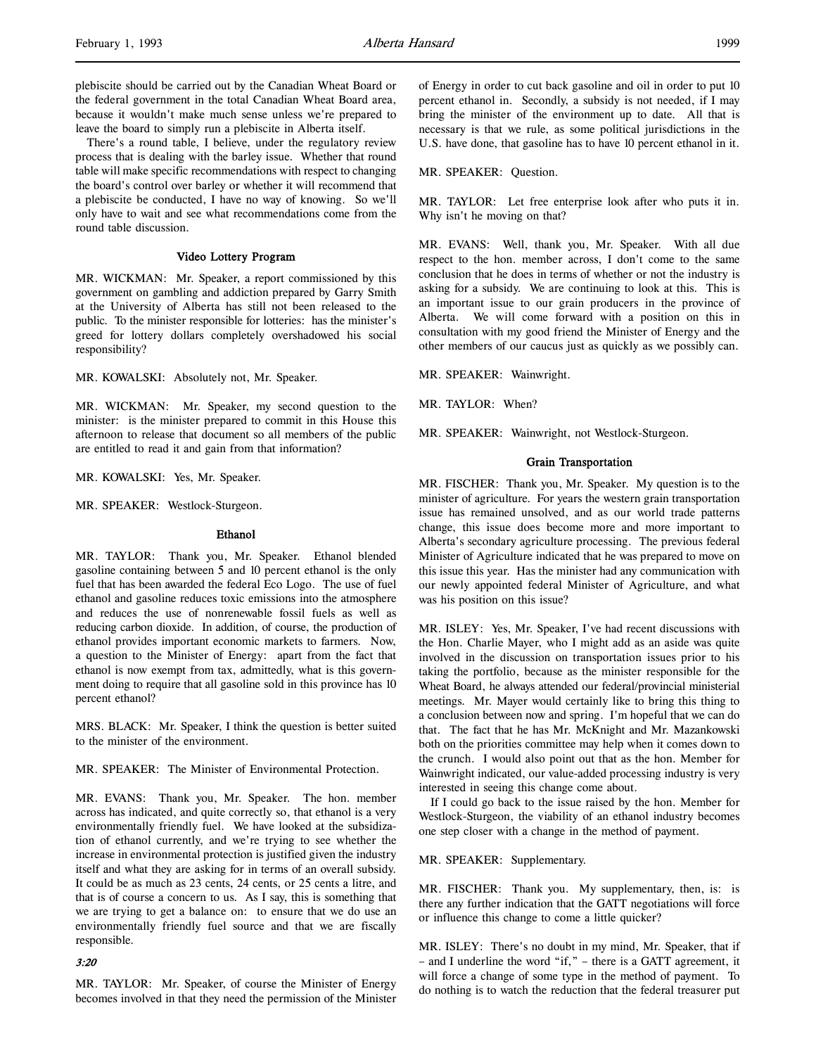plebiscite should be carried out by the Canadian Wheat Board or the federal government in the total Canadian Wheat Board area, because it wouldn't make much sense unless we're prepared to leave the board to simply run a plebiscite in Alberta itself.

There's a round table, I believe, under the regulatory review process that is dealing with the barley issue. Whether that round table will make specific recommendations with respect to changing the board's control over barley or whether it will recommend that a plebiscite be conducted, I have no way of knowing. So we'll only have to wait and see what recommendations come from the round table discussion.

# Video Lottery Program

MR. WICKMAN: Mr. Speaker, a report commissioned by this government on gambling and addiction prepared by Garry Smith at the University of Alberta has still not been released to the public. To the minister responsible for lotteries: has the minister's greed for lottery dollars completely overshadowed his social responsibility?

MR. KOWALSKI: Absolutely not, Mr. Speaker.

MR. WICKMAN: Mr. Speaker, my second question to the minister: is the minister prepared to commit in this House this afternoon to release that document so all members of the public are entitled to read it and gain from that information?

MR. KOWALSKI: Yes, Mr. Speaker.

MR. SPEAKER: Westlock-Sturgeon.

## Ethanol

MR. TAYLOR: Thank you, Mr. Speaker. Ethanol blended gasoline containing between 5 and 10 percent ethanol is the only fuel that has been awarded the federal Eco Logo. The use of fuel ethanol and gasoline reduces toxic emissions into the atmosphere and reduces the use of nonrenewable fossil fuels as well as reducing carbon dioxide. In addition, of course, the production of ethanol provides important economic markets to farmers. Now, a question to the Minister of Energy: apart from the fact that ethanol is now exempt from tax, admittedly, what is this government doing to require that all gasoline sold in this province has 10 percent ethanol?

MRS. BLACK: Mr. Speaker, I think the question is better suited to the minister of the environment.

MR. SPEAKER: The Minister of Environmental Protection.

MR. EVANS: Thank you, Mr. Speaker. The hon. member across has indicated, and quite correctly so, that ethanol is a very environmentally friendly fuel. We have looked at the subsidization of ethanol currently, and we're trying to see whether the increase in environmental protection is justified given the industry itself and what they are asking for in terms of an overall subsidy. It could be as much as 23 cents, 24 cents, or 25 cents a litre, and that is of course a concern to us. As I say, this is something that we are trying to get a balance on: to ensure that we do use an environmentally friendly fuel source and that we are fiscally responsible.

#### 3:20

MR. TAYLOR: Mr. Speaker, of course the Minister of Energy becomes involved in that they need the permission of the Minister of Energy in order to cut back gasoline and oil in order to put 10 percent ethanol in. Secondly, a subsidy is not needed, if I may bring the minister of the environment up to date. All that is necessary is that we rule, as some political jurisdictions in the U.S. have done, that gasoline has to have 10 percent ethanol in it.

MR. SPEAKER: Question.

MR. TAYLOR: Let free enterprise look after who puts it in. Why isn't he moving on that?

MR. EVANS: Well, thank you, Mr. Speaker. With all due respect to the hon. member across, I don't come to the same conclusion that he does in terms of whether or not the industry is asking for a subsidy. We are continuing to look at this. This is an important issue to our grain producers in the province of Alberta. We will come forward with a position on this in consultation with my good friend the Minister of Energy and the other members of our caucus just as quickly as we possibly can.

MR. SPEAKER: Wainwright.

MR. TAYLOR: When?

MR. SPEAKER: Wainwright, not Westlock-Sturgeon.

# Grain Transportation

MR. FISCHER: Thank you, Mr. Speaker. My question is to the minister of agriculture. For years the western grain transportation issue has remained unsolved, and as our world trade patterns change, this issue does become more and more important to Alberta's secondary agriculture processing. The previous federal Minister of Agriculture indicated that he was prepared to move on this issue this year. Has the minister had any communication with our newly appointed federal Minister of Agriculture, and what was his position on this issue?

MR. ISLEY: Yes, Mr. Speaker, I've had recent discussions with the Hon. Charlie Mayer, who I might add as an aside was quite involved in the discussion on transportation issues prior to his taking the portfolio, because as the minister responsible for the Wheat Board, he always attended our federal/provincial ministerial meetings. Mr. Mayer would certainly like to bring this thing to a conclusion between now and spring. I'm hopeful that we can do that. The fact that he has Mr. McKnight and Mr. Mazankowski both on the priorities committee may help when it comes down to the crunch. I would also point out that as the hon. Member for Wainwright indicated, our value-added processing industry is very interested in seeing this change come about.

If I could go back to the issue raised by the hon. Member for Westlock-Sturgeon, the viability of an ethanol industry becomes one step closer with a change in the method of payment.

#### MR. SPEAKER: Supplementary.

MR. FISCHER: Thank you. My supplementary, then, is: is there any further indication that the GATT negotiations will force or influence this change to come a little quicker?

MR. ISLEY: There's no doubt in my mind, Mr. Speaker, that if – and I underline the word "if," – there is a GATT agreement, it will force a change of some type in the method of payment. To do nothing is to watch the reduction that the federal treasurer put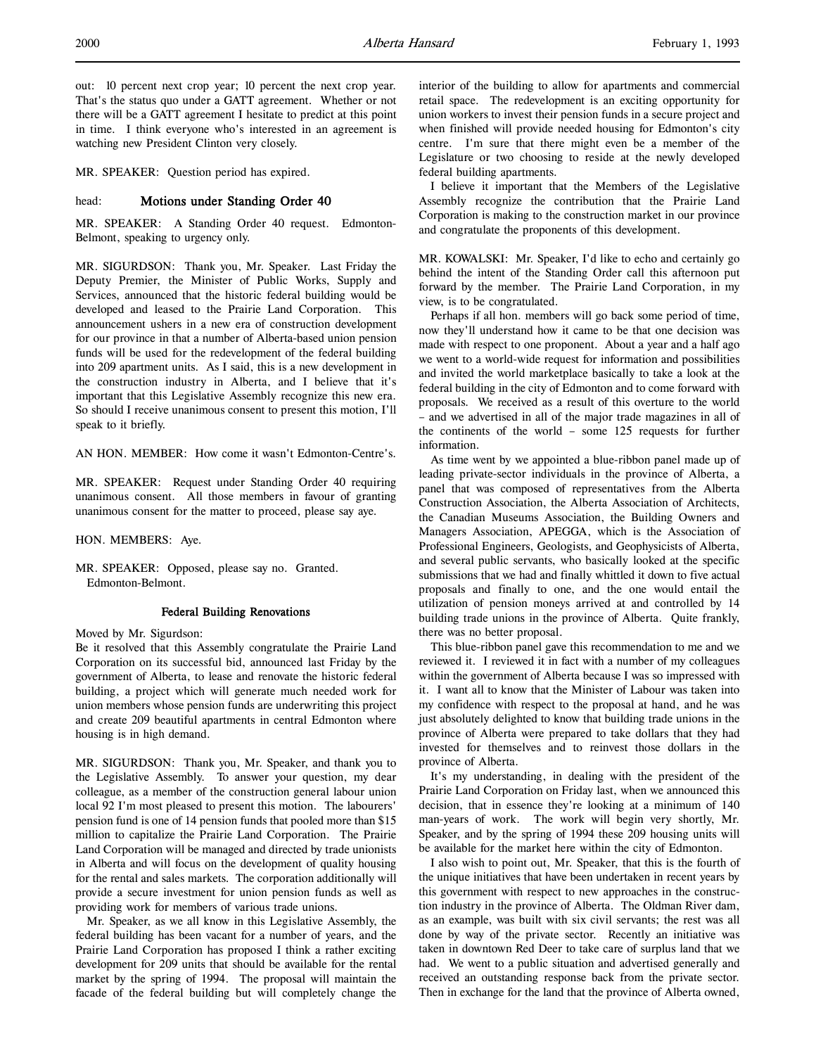out: 10 percent next crop year; 10 percent the next crop year. That's the status quo under a GATT agreement. Whether or not there will be a GATT agreement I hesitate to predict at this point in time. I think everyone who's interested in an agreement is watching new President Clinton very closely.

MR. SPEAKER: Question period has expired.

#### head: Motions under Standing Order 40

MR. SPEAKER: A Standing Order 40 request. Edmonton-Belmont, speaking to urgency only.

MR. SIGURDSON: Thank you, Mr. Speaker. Last Friday the Deputy Premier, the Minister of Public Works, Supply and Services, announced that the historic federal building would be developed and leased to the Prairie Land Corporation. This announcement ushers in a new era of construction development for our province in that a number of Alberta-based union pension funds will be used for the redevelopment of the federal building into 209 apartment units. As I said, this is a new development in the construction industry in Alberta, and I believe that it's important that this Legislative Assembly recognize this new era. So should I receive unanimous consent to present this motion, I'll speak to it briefly.

AN HON. MEMBER: How come it wasn't Edmonton-Centre's.

MR. SPEAKER: Request under Standing Order 40 requiring unanimous consent. All those members in favour of granting unanimous consent for the matter to proceed, please say aye.

HON. MEMBERS: Aye.

MR. SPEAKER: Opposed, please say no. Granted. Edmonton-Belmont.

#### Federal Building Renovations

Moved by Mr. Sigurdson:

Be it resolved that this Assembly congratulate the Prairie Land Corporation on its successful bid, announced last Friday by the government of Alberta, to lease and renovate the historic federal building, a project which will generate much needed work for union members whose pension funds are underwriting this project and create 209 beautiful apartments in central Edmonton where housing is in high demand.

MR. SIGURDSON: Thank you, Mr. Speaker, and thank you to the Legislative Assembly. To answer your question, my dear colleague, as a member of the construction general labour union local 92 I'm most pleased to present this motion. The labourers' pension fund is one of 14 pension funds that pooled more than \$15 million to capitalize the Prairie Land Corporation. The Prairie Land Corporation will be managed and directed by trade unionists in Alberta and will focus on the development of quality housing for the rental and sales markets. The corporation additionally will provide a secure investment for union pension funds as well as providing work for members of various trade unions.

Mr. Speaker, as we all know in this Legislative Assembly, the federal building has been vacant for a number of years, and the Prairie Land Corporation has proposed I think a rather exciting development for 209 units that should be available for the rental market by the spring of 1994. The proposal will maintain the facade of the federal building but will completely change the

interior of the building to allow for apartments and commercial retail space. The redevelopment is an exciting opportunity for union workers to invest their pension funds in a secure project and when finished will provide needed housing for Edmonton's city centre. I'm sure that there might even be a member of the Legislature or two choosing to reside at the newly developed federal building apartments.

I believe it important that the Members of the Legislative Assembly recognize the contribution that the Prairie Land Corporation is making to the construction market in our province and congratulate the proponents of this development.

MR. KOWALSKI: Mr. Speaker, I'd like to echo and certainly go behind the intent of the Standing Order call this afternoon put forward by the member. The Prairie Land Corporation, in my view, is to be congratulated.

Perhaps if all hon. members will go back some period of time, now they'll understand how it came to be that one decision was made with respect to one proponent. About a year and a half ago we went to a world-wide request for information and possibilities and invited the world marketplace basically to take a look at the federal building in the city of Edmonton and to come forward with proposals. We received as a result of this overture to the world – and we advertised in all of the major trade magazines in all of the continents of the world – some 125 requests for further information.

As time went by we appointed a blue-ribbon panel made up of leading private-sector individuals in the province of Alberta, a panel that was composed of representatives from the Alberta Construction Association, the Alberta Association of Architects, the Canadian Museums Association, the Building Owners and Managers Association, APEGGA, which is the Association of Professional Engineers, Geologists, and Geophysicists of Alberta, and several public servants, who basically looked at the specific submissions that we had and finally whittled it down to five actual proposals and finally to one, and the one would entail the utilization of pension moneys arrived at and controlled by 14 building trade unions in the province of Alberta. Quite frankly, there was no better proposal.

This blue-ribbon panel gave this recommendation to me and we reviewed it. I reviewed it in fact with a number of my colleagues within the government of Alberta because I was so impressed with it. I want all to know that the Minister of Labour was taken into my confidence with respect to the proposal at hand, and he was just absolutely delighted to know that building trade unions in the province of Alberta were prepared to take dollars that they had invested for themselves and to reinvest those dollars in the province of Alberta.

It's my understanding, in dealing with the president of the Prairie Land Corporation on Friday last, when we announced this decision, that in essence they're looking at a minimum of 140 man-years of work. The work will begin very shortly, Mr. Speaker, and by the spring of 1994 these 209 housing units will be available for the market here within the city of Edmonton.

I also wish to point out, Mr. Speaker, that this is the fourth of the unique initiatives that have been undertaken in recent years by this government with respect to new approaches in the construction industry in the province of Alberta. The Oldman River dam, as an example, was built with six civil servants; the rest was all done by way of the private sector. Recently an initiative was taken in downtown Red Deer to take care of surplus land that we had. We went to a public situation and advertised generally and received an outstanding response back from the private sector. Then in exchange for the land that the province of Alberta owned,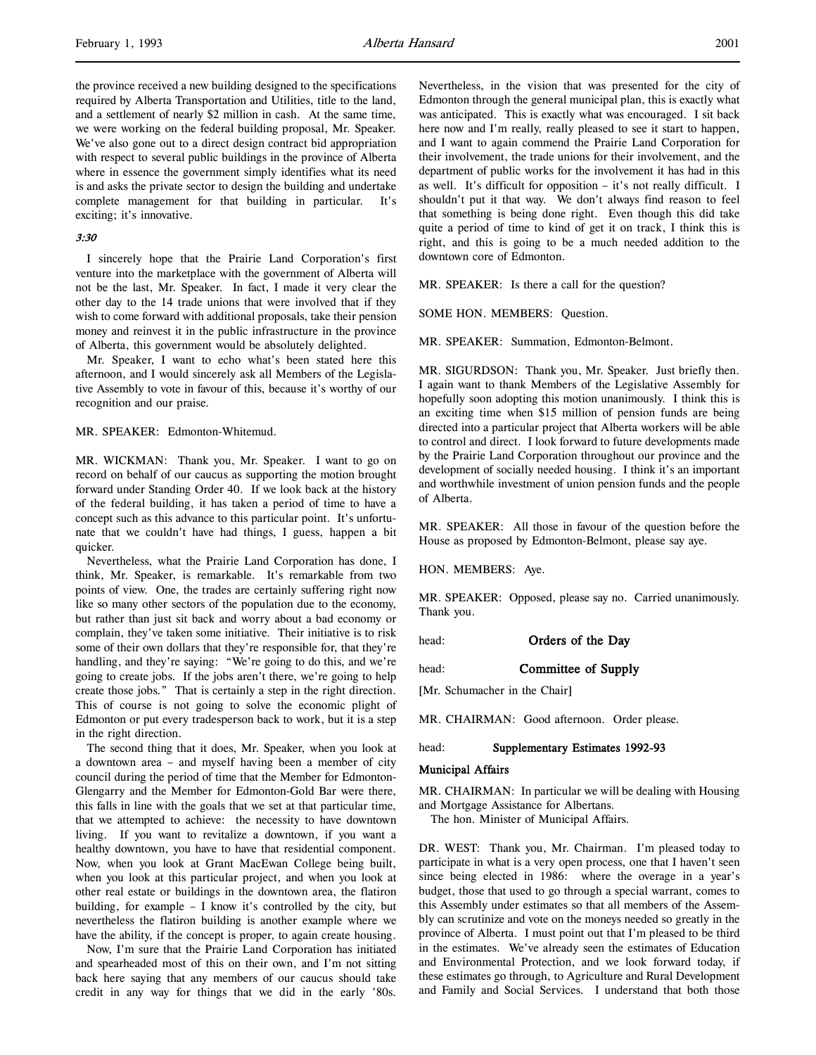the province received a new building designed to the specifications required by Alberta Transportation and Utilities, title to the land, and a settlement of nearly \$2 million in cash. At the same time, we were working on the federal building proposal, Mr. Speaker. We've also gone out to a direct design contract bid appropriation with respect to several public buildings in the province of Alberta where in essence the government simply identifies what its need is and asks the private sector to design the building and undertake complete management for that building in particular. It's exciting; it's innovative.

#### 3:30

I sincerely hope that the Prairie Land Corporation's first venture into the marketplace with the government of Alberta will not be the last, Mr. Speaker. In fact, I made it very clear the other day to the 14 trade unions that were involved that if they wish to come forward with additional proposals, take their pension money and reinvest it in the public infrastructure in the province of Alberta, this government would be absolutely delighted.

Mr. Speaker, I want to echo what's been stated here this afternoon, and I would sincerely ask all Members of the Legislative Assembly to vote in favour of this, because it's worthy of our recognition and our praise.

MR. SPEAKER: Edmonton-Whitemud.

MR. WICKMAN: Thank you, Mr. Speaker. I want to go on record on behalf of our caucus as supporting the motion brought forward under Standing Order 40. If we look back at the history of the federal building, it has taken a period of time to have a concept such as this advance to this particular point. It's unfortunate that we couldn't have had things, I guess, happen a bit quicker.

Nevertheless, what the Prairie Land Corporation has done, I think, Mr. Speaker, is remarkable. It's remarkable from two points of view. One, the trades are certainly suffering right now like so many other sectors of the population due to the economy, but rather than just sit back and worry about a bad economy or complain, they've taken some initiative. Their initiative is to risk some of their own dollars that they're responsible for, that they're handling, and they're saying: "We're going to do this, and we're going to create jobs. If the jobs aren't there, we're going to help create those jobs." That is certainly a step in the right direction. This of course is not going to solve the economic plight of Edmonton or put every tradesperson back to work, but it is a step in the right direction.

The second thing that it does, Mr. Speaker, when you look at a downtown area – and myself having been a member of city council during the period of time that the Member for Edmonton-Glengarry and the Member for Edmonton-Gold Bar were there, this falls in line with the goals that we set at that particular time, that we attempted to achieve: the necessity to have downtown living. If you want to revitalize a downtown, if you want a healthy downtown, you have to have that residential component. Now, when you look at Grant MacEwan College being built, when you look at this particular project, and when you look at other real estate or buildings in the downtown area, the flatiron building, for example – I know it's controlled by the city, but nevertheless the flatiron building is another example where we have the ability, if the concept is proper, to again create housing.

Now, I'm sure that the Prairie Land Corporation has initiated and spearheaded most of this on their own, and I'm not sitting back here saying that any members of our caucus should take credit in any way for things that we did in the early '80s.

Nevertheless, in the vision that was presented for the city of Edmonton through the general municipal plan, this is exactly what was anticipated. This is exactly what was encouraged. I sit back here now and I'm really, really pleased to see it start to happen, and I want to again commend the Prairie Land Corporation for their involvement, the trade unions for their involvement, and the department of public works for the involvement it has had in this as well. It's difficult for opposition – it's not really difficult. I shouldn't put it that way. We don't always find reason to feel that something is being done right. Even though this did take quite a period of time to kind of get it on track, I think this is right, and this is going to be a much needed addition to the downtown core of Edmonton.

MR. SPEAKER: Is there a call for the question?

SOME HON. MEMBERS: Question.

MR. SPEAKER: Summation, Edmonton-Belmont.

MR. SIGURDSON: Thank you, Mr. Speaker. Just briefly then. I again want to thank Members of the Legislative Assembly for hopefully soon adopting this motion unanimously. I think this is an exciting time when \$15 million of pension funds are being directed into a particular project that Alberta workers will be able to control and direct. I look forward to future developments made by the Prairie Land Corporation throughout our province and the development of socially needed housing. I think it's an important and worthwhile investment of union pension funds and the people of Alberta.

MR. SPEAKER: All those in favour of the question before the House as proposed by Edmonton-Belmont, please say aye.

HON. MEMBERS: Aye.

MR. SPEAKER: Opposed, please say no. Carried unanimously. Thank you.

head: **Orders of the Day** 

head: **Committee of Supply** 

[Mr. Schumacher in the Chair]

MR. CHAIRMAN: Good afternoon. Order please.

#### head: Supplementary Estimates 1992-93

#### Municipal Affairs

MR. CHAIRMAN: In particular we will be dealing with Housing and Mortgage Assistance for Albertans.

The hon. Minister of Municipal Affairs.

DR. WEST: Thank you, Mr. Chairman. I'm pleased today to participate in what is a very open process, one that I haven't seen since being elected in 1986: where the overage in a year's budget, those that used to go through a special warrant, comes to this Assembly under estimates so that all members of the Assembly can scrutinize and vote on the moneys needed so greatly in the province of Alberta. I must point out that I'm pleased to be third in the estimates. We've already seen the estimates of Education and Environmental Protection, and we look forward today, if these estimates go through, to Agriculture and Rural Development and Family and Social Services. I understand that both those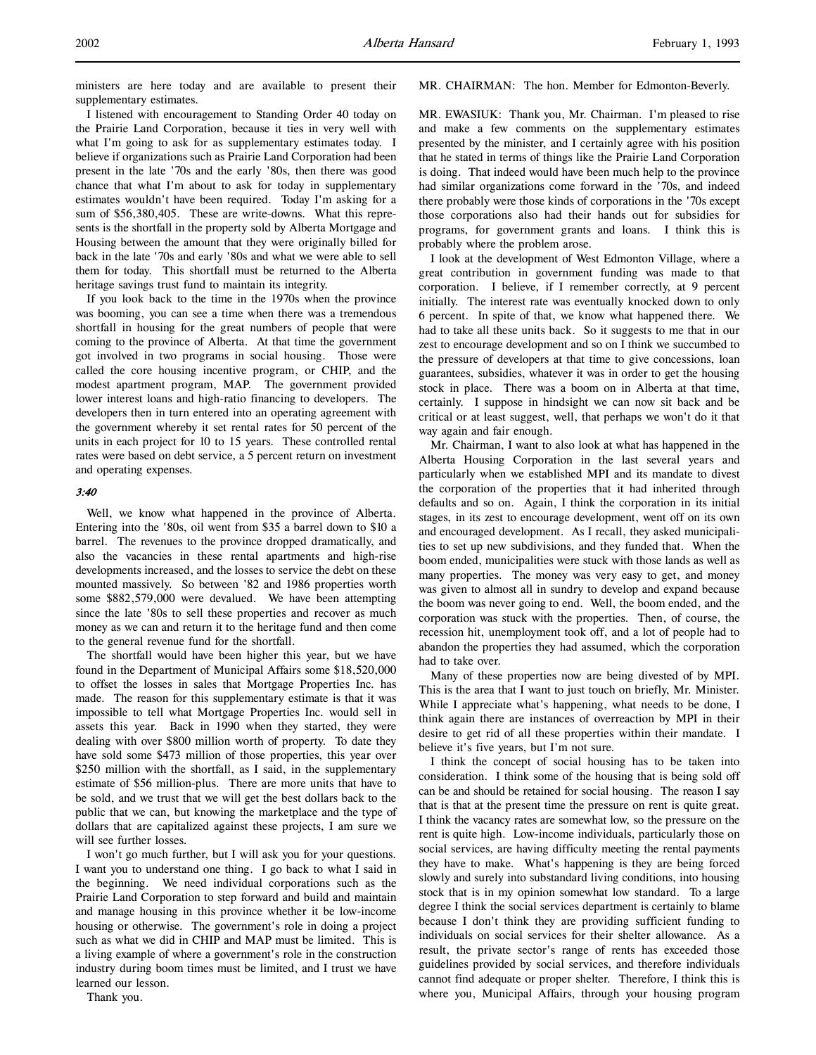ministers are here today and are available to present their supplementary estimates.

I listened with encouragement to Standing Order 40 today on the Prairie Land Corporation, because it ties in very well with what I'm going to ask for as supplementary estimates today. I believe if organizations such as Prairie Land Corporation had been present in the late '70s and the early '80s, then there was good chance that what I'm about to ask for today in supplementary estimates wouldn't have been required. Today I'm asking for a sum of \$56,380,405. These are write-downs. What this represents is the shortfall in the property sold by Alberta Mortgage and Housing between the amount that they were originally billed for back in the late '70s and early '80s and what we were able to sell them for today. This shortfall must be returned to the Alberta heritage savings trust fund to maintain its integrity.

If you look back to the time in the 1970s when the province was booming, you can see a time when there was a tremendous shortfall in housing for the great numbers of people that were coming to the province of Alberta. At that time the government got involved in two programs in social housing. Those were called the core housing incentive program, or CHIP, and the modest apartment program, MAP. The government provided lower interest loans and high-ratio financing to developers. The developers then in turn entered into an operating agreement with the government whereby it set rental rates for 50 percent of the units in each project for 10 to 15 years. These controlled rental rates were based on debt service, a 5 percent return on investment and operating expenses.

# 3:40

Well, we know what happened in the province of Alberta. Entering into the '80s, oil went from \$35 a barrel down to \$10 a barrel. The revenues to the province dropped dramatically, and also the vacancies in these rental apartments and high-rise developments increased, and the losses to service the debt on these mounted massively. So between '82 and 1986 properties worth some \$882,579,000 were devalued. We have been attempting since the late '80s to sell these properties and recover as much money as we can and return it to the heritage fund and then come to the general revenue fund for the shortfall.

The shortfall would have been higher this year, but we have found in the Department of Municipal Affairs some \$18,520,000 to offset the losses in sales that Mortgage Properties Inc. has made. The reason for this supplementary estimate is that it was impossible to tell what Mortgage Properties Inc. would sell in assets this year. Back in 1990 when they started, they were dealing with over \$800 million worth of property. To date they have sold some \$473 million of those properties, this year over \$250 million with the shortfall, as I said, in the supplementary estimate of \$56 million-plus. There are more units that have to be sold, and we trust that we will get the best dollars back to the public that we can, but knowing the marketplace and the type of dollars that are capitalized against these projects, I am sure we will see further losses.

I won't go much further, but I will ask you for your questions. I want you to understand one thing. I go back to what I said in the beginning. We need individual corporations such as the Prairie Land Corporation to step forward and build and maintain and manage housing in this province whether it be low-income housing or otherwise. The government's role in doing a project such as what we did in CHIP and MAP must be limited. This is a living example of where a government's role in the construction industry during boom times must be limited, and I trust we have learned our lesson.

#### Thank you.

MR. CHAIRMAN: The hon. Member for Edmonton-Beverly.

MR. EWASIUK: Thank you, Mr. Chairman. I'm pleased to rise and make a few comments on the supplementary estimates presented by the minister, and I certainly agree with his position that he stated in terms of things like the Prairie Land Corporation is doing. That indeed would have been much help to the province had similar organizations come forward in the '70s, and indeed there probably were those kinds of corporations in the '70s except those corporations also had their hands out for subsidies for programs, for government grants and loans. I think this is probably where the problem arose.

I look at the development of West Edmonton Village, where a great contribution in government funding was made to that corporation. I believe, if I remember correctly, at 9 percent initially. The interest rate was eventually knocked down to only 6 percent. In spite of that, we know what happened there. We had to take all these units back. So it suggests to me that in our zest to encourage development and so on I think we succumbed to the pressure of developers at that time to give concessions, loan guarantees, subsidies, whatever it was in order to get the housing stock in place. There was a boom on in Alberta at that time, certainly. I suppose in hindsight we can now sit back and be critical or at least suggest, well, that perhaps we won't do it that way again and fair enough.

Mr. Chairman, I want to also look at what has happened in the Alberta Housing Corporation in the last several years and particularly when we established MPI and its mandate to divest the corporation of the properties that it had inherited through defaults and so on. Again, I think the corporation in its initial stages, in its zest to encourage development, went off on its own and encouraged development. As I recall, they asked municipalities to set up new subdivisions, and they funded that. When the boom ended, municipalities were stuck with those lands as well as many properties. The money was very easy to get, and money was given to almost all in sundry to develop and expand because the boom was never going to end. Well, the boom ended, and the corporation was stuck with the properties. Then, of course, the recession hit, unemployment took off, and a lot of people had to abandon the properties they had assumed, which the corporation had to take over.

Many of these properties now are being divested of by MPI. This is the area that I want to just touch on briefly, Mr. Minister. While I appreciate what's happening, what needs to be done, I think again there are instances of overreaction by MPI in their desire to get rid of all these properties within their mandate. I believe it's five years, but I'm not sure.

I think the concept of social housing has to be taken into consideration. I think some of the housing that is being sold off can be and should be retained for social housing. The reason I say that is that at the present time the pressure on rent is quite great. I think the vacancy rates are somewhat low, so the pressure on the rent is quite high. Low-income individuals, particularly those on social services, are having difficulty meeting the rental payments they have to make. What's happening is they are being forced slowly and surely into substandard living conditions, into housing stock that is in my opinion somewhat low standard. To a large degree I think the social services department is certainly to blame because I don't think they are providing sufficient funding to individuals on social services for their shelter allowance. As a result, the private sector's range of rents has exceeded those guidelines provided by social services, and therefore individuals cannot find adequate or proper shelter. Therefore, I think this is where you, Municipal Affairs, through your housing program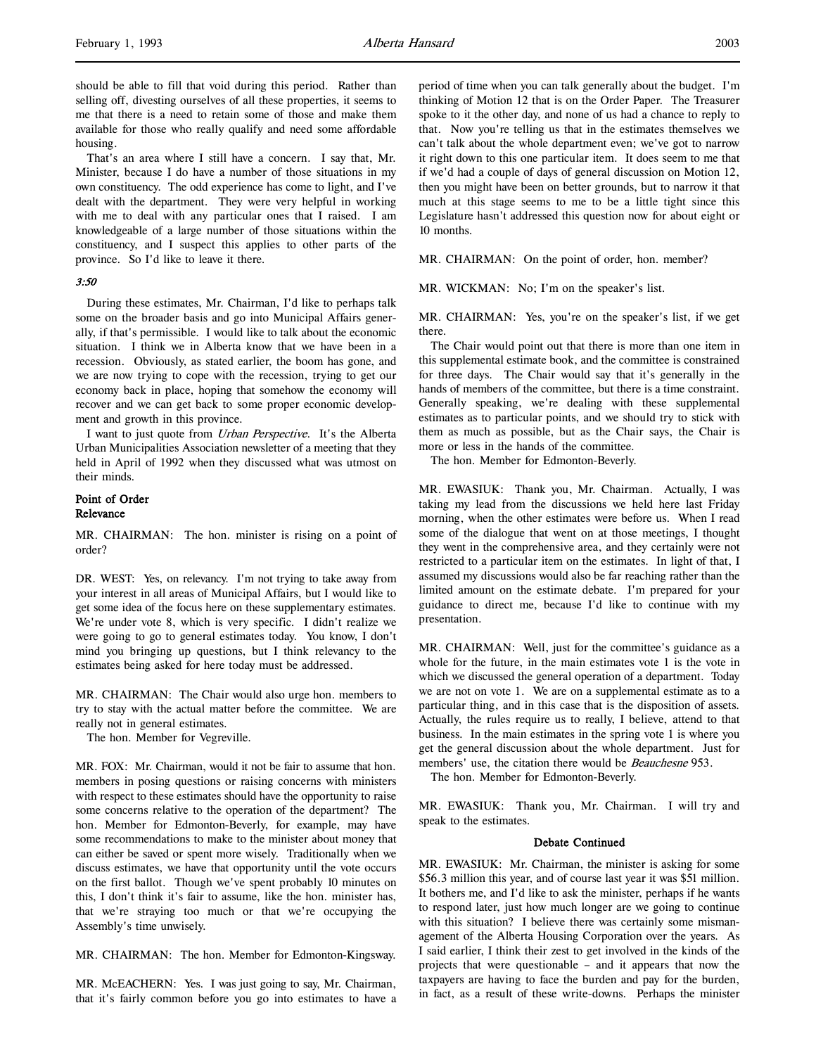should be able to fill that void during this period. Rather than selling off, divesting ourselves of all these properties, it seems to me that there is a need to retain some of those and make them available for those who really qualify and need some affordable housing.

That's an area where I still have a concern. I say that, Mr. Minister, because I do have a number of those situations in my own constituency. The odd experience has come to light, and I've dealt with the department. They were very helpful in working with me to deal with any particular ones that I raised. I am knowledgeable of a large number of those situations within the constituency, and I suspect this applies to other parts of the province. So I'd like to leave it there.

#### 3:50

During these estimates, Mr. Chairman, I'd like to perhaps talk some on the broader basis and go into Municipal Affairs generally, if that's permissible. I would like to talk about the economic situation. I think we in Alberta know that we have been in a recession. Obviously, as stated earlier, the boom has gone, and we are now trying to cope with the recession, trying to get our economy back in place, hoping that somehow the economy will recover and we can get back to some proper economic development and growth in this province.

I want to just quote from Urban Perspective. It's the Alberta Urban Municipalities Association newsletter of a meeting that they held in April of 1992 when they discussed what was utmost on their minds.

# Point of Order Relevance

MR. CHAIRMAN: The hon. minister is rising on a point of order?

DR. WEST: Yes, on relevancy. I'm not trying to take away from your interest in all areas of Municipal Affairs, but I would like to get some idea of the focus here on these supplementary estimates. We're under vote 8, which is very specific. I didn't realize we were going to go to general estimates today. You know, I don't mind you bringing up questions, but I think relevancy to the estimates being asked for here today must be addressed.

MR. CHAIRMAN: The Chair would also urge hon. members to try to stay with the actual matter before the committee. We are really not in general estimates.

The hon. Member for Vegreville.

MR. FOX: Mr. Chairman, would it not be fair to assume that hon. members in posing questions or raising concerns with ministers with respect to these estimates should have the opportunity to raise some concerns relative to the operation of the department? The hon. Member for Edmonton-Beverly, for example, may have some recommendations to make to the minister about money that can either be saved or spent more wisely. Traditionally when we discuss estimates, we have that opportunity until the vote occurs on the first ballot. Though we've spent probably 10 minutes on this, I don't think it's fair to assume, like the hon. minister has, that we're straying too much or that we're occupying the Assembly's time unwisely.

MR. CHAIRMAN: The hon. Member for Edmonton-Kingsway.

MR. McEACHERN: Yes. I was just going to say, Mr. Chairman, that it's fairly common before you go into estimates to have a period of time when you can talk generally about the budget. I'm thinking of Motion 12 that is on the Order Paper. The Treasurer spoke to it the other day, and none of us had a chance to reply to that. Now you're telling us that in the estimates themselves we can't talk about the whole department even; we've got to narrow it right down to this one particular item. It does seem to me that if we'd had a couple of days of general discussion on Motion 12, then you might have been on better grounds, but to narrow it that much at this stage seems to me to be a little tight since this Legislature hasn't addressed this question now for about eight or 10 months.

MR. CHAIRMAN: On the point of order, hon. member?

MR. WICKMAN: No; I'm on the speaker's list.

MR. CHAIRMAN: Yes, you're on the speaker's list, if we get there.

The Chair would point out that there is more than one item in this supplemental estimate book, and the committee is constrained for three days. The Chair would say that it's generally in the hands of members of the committee, but there is a time constraint. Generally speaking, we're dealing with these supplemental estimates as to particular points, and we should try to stick with them as much as possible, but as the Chair says, the Chair is more or less in the hands of the committee.

The hon. Member for Edmonton-Beverly.

MR. EWASIUK: Thank you, Mr. Chairman. Actually, I was taking my lead from the discussions we held here last Friday morning, when the other estimates were before us. When I read some of the dialogue that went on at those meetings, I thought they went in the comprehensive area, and they certainly were not restricted to a particular item on the estimates. In light of that, I assumed my discussions would also be far reaching rather than the limited amount on the estimate debate. I'm prepared for your guidance to direct me, because I'd like to continue with my presentation.

MR. CHAIRMAN: Well, just for the committee's guidance as a whole for the future, in the main estimates vote 1 is the vote in which we discussed the general operation of a department. Today we are not on vote 1. We are on a supplemental estimate as to a particular thing, and in this case that is the disposition of assets. Actually, the rules require us to really, I believe, attend to that business. In the main estimates in the spring vote 1 is where you get the general discussion about the whole department. Just for members' use, the citation there would be *Beauchesne* 953.

The hon. Member for Edmonton-Beverly.

MR. EWASIUK: Thank you, Mr. Chairman. I will try and speak to the estimates.

#### Debate Continued

MR. EWASIUK: Mr. Chairman, the minister is asking for some \$56.3 million this year, and of course last year it was \$51 million. It bothers me, and I'd like to ask the minister, perhaps if he wants to respond later, just how much longer are we going to continue with this situation? I believe there was certainly some mismanagement of the Alberta Housing Corporation over the years. As I said earlier, I think their zest to get involved in the kinds of the projects that were questionable – and it appears that now the taxpayers are having to face the burden and pay for the burden, in fact, as a result of these write-downs. Perhaps the minister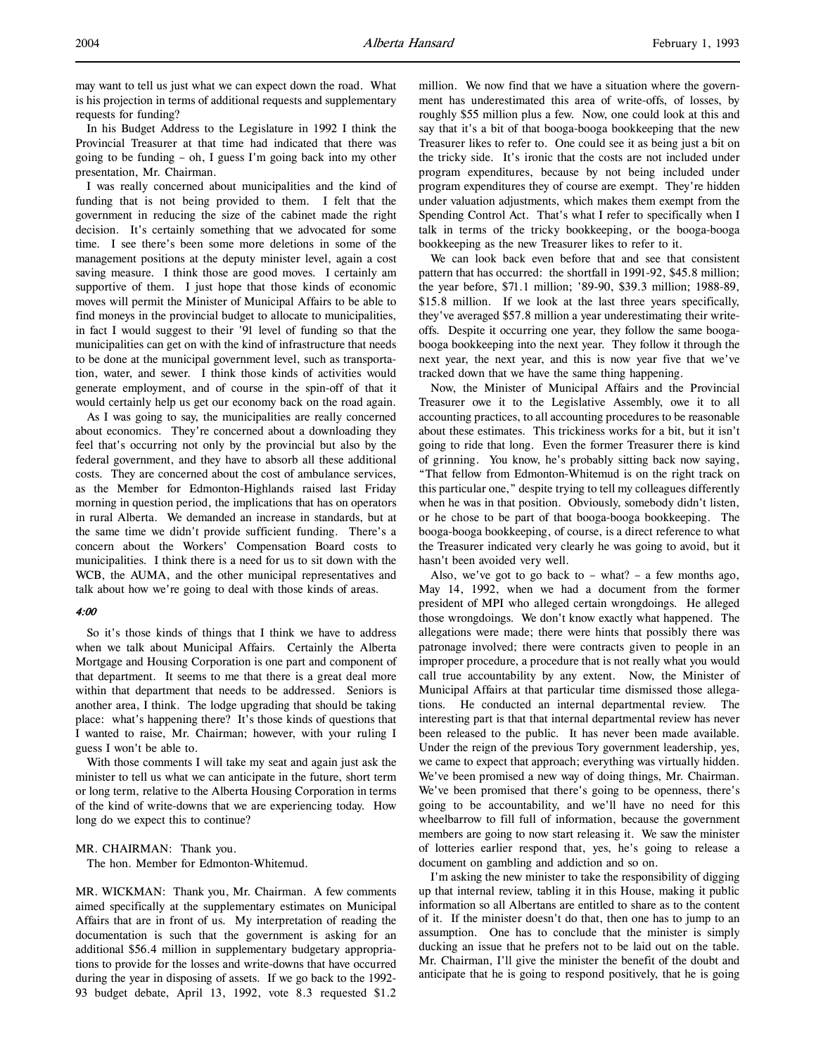may want to tell us just what we can expect down the road. What is his projection in terms of additional requests and supplementary requests for funding?

In his Budget Address to the Legislature in 1992 I think the Provincial Treasurer at that time had indicated that there was going to be funding – oh, I guess I'm going back into my other presentation, Mr. Chairman.

I was really concerned about municipalities and the kind of funding that is not being provided to them. I felt that the government in reducing the size of the cabinet made the right decision. It's certainly something that we advocated for some time. I see there's been some more deletions in some of the management positions at the deputy minister level, again a cost saving measure. I think those are good moves. I certainly am supportive of them. I just hope that those kinds of economic moves will permit the Minister of Municipal Affairs to be able to find moneys in the provincial budget to allocate to municipalities, in fact I would suggest to their '91 level of funding so that the municipalities can get on with the kind of infrastructure that needs to be done at the municipal government level, such as transportation, water, and sewer. I think those kinds of activities would generate employment, and of course in the spin-off of that it would certainly help us get our economy back on the road again.

As I was going to say, the municipalities are really concerned about economics. They're concerned about a downloading they feel that's occurring not only by the provincial but also by the federal government, and they have to absorb all these additional costs. They are concerned about the cost of ambulance services, as the Member for Edmonton-Highlands raised last Friday morning in question period, the implications that has on operators in rural Alberta. We demanded an increase in standards, but at the same time we didn't provide sufficient funding. There's a concern about the Workers' Compensation Board costs to municipalities. I think there is a need for us to sit down with the WCB, the AUMA, and the other municipal representatives and talk about how we're going to deal with those kinds of areas.

#### 4:00

So it's those kinds of things that I think we have to address when we talk about Municipal Affairs. Certainly the Alberta Mortgage and Housing Corporation is one part and component of that department. It seems to me that there is a great deal more within that department that needs to be addressed. Seniors is another area, I think. The lodge upgrading that should be taking place: what's happening there? It's those kinds of questions that I wanted to raise, Mr. Chairman; however, with your ruling I guess I won't be able to.

With those comments I will take my seat and again just ask the minister to tell us what we can anticipate in the future, short term or long term, relative to the Alberta Housing Corporation in terms of the kind of write-downs that we are experiencing today. How long do we expect this to continue?

MR. CHAIRMAN: Thank you.

The hon. Member for Edmonton-Whitemud.

MR. WICKMAN: Thank you, Mr. Chairman. A few comments aimed specifically at the supplementary estimates on Municipal Affairs that are in front of us. My interpretation of reading the documentation is such that the government is asking for an additional \$56.4 million in supplementary budgetary appropriations to provide for the losses and write-downs that have occurred during the year in disposing of assets. If we go back to the 1992- 93 budget debate, April 13, 1992, vote 8.3 requested \$1.2

million. We now find that we have a situation where the government has underestimated this area of write-offs, of losses, by roughly \$55 million plus a few. Now, one could look at this and say that it's a bit of that booga-booga bookkeeping that the new Treasurer likes to refer to. One could see it as being just a bit on the tricky side. It's ironic that the costs are not included under program expenditures, because by not being included under program expenditures they of course are exempt. They're hidden under valuation adjustments, which makes them exempt from the Spending Control Act. That's what I refer to specifically when I talk in terms of the tricky bookkeeping, or the booga-booga bookkeeping as the new Treasurer likes to refer to it.

We can look back even before that and see that consistent pattern that has occurred: the shortfall in 1991-92, \$45.8 million; the year before, \$71.1 million; '89-90, \$39.3 million; 1988-89, \$15.8 million. If we look at the last three years specifically, they've averaged \$57.8 million a year underestimating their writeoffs. Despite it occurring one year, they follow the same boogabooga bookkeeping into the next year. They follow it through the next year, the next year, and this is now year five that we've tracked down that we have the same thing happening.

Now, the Minister of Municipal Affairs and the Provincial Treasurer owe it to the Legislative Assembly, owe it to all accounting practices, to all accounting procedures to be reasonable about these estimates. This trickiness works for a bit, but it isn't going to ride that long. Even the former Treasurer there is kind of grinning. You know, he's probably sitting back now saying, "That fellow from Edmonton-Whitemud is on the right track on this particular one," despite trying to tell my colleagues differently when he was in that position. Obviously, somebody didn't listen, or he chose to be part of that booga-booga bookkeeping. The booga-booga bookkeeping, of course, is a direct reference to what the Treasurer indicated very clearly he was going to avoid, but it hasn't been avoided very well.

Also, we've got to go back to  $-$  what?  $-$  a few months ago, May 14, 1992, when we had a document from the former president of MPI who alleged certain wrongdoings. He alleged those wrongdoings. We don't know exactly what happened. The allegations were made; there were hints that possibly there was patronage involved; there were contracts given to people in an improper procedure, a procedure that is not really what you would call true accountability by any extent. Now, the Minister of Municipal Affairs at that particular time dismissed those allegations. He conducted an internal departmental review. The interesting part is that that internal departmental review has never been released to the public. It has never been made available. Under the reign of the previous Tory government leadership, yes, we came to expect that approach; everything was virtually hidden. We've been promised a new way of doing things, Mr. Chairman. We've been promised that there's going to be openness, there's going to be accountability, and we'll have no need for this wheelbarrow to fill full of information, because the government members are going to now start releasing it. We saw the minister of lotteries earlier respond that, yes, he's going to release a document on gambling and addiction and so on.

I'm asking the new minister to take the responsibility of digging up that internal review, tabling it in this House, making it public information so all Albertans are entitled to share as to the content of it. If the minister doesn't do that, then one has to jump to an assumption. One has to conclude that the minister is simply ducking an issue that he prefers not to be laid out on the table. Mr. Chairman, I'll give the minister the benefit of the doubt and anticipate that he is going to respond positively, that he is going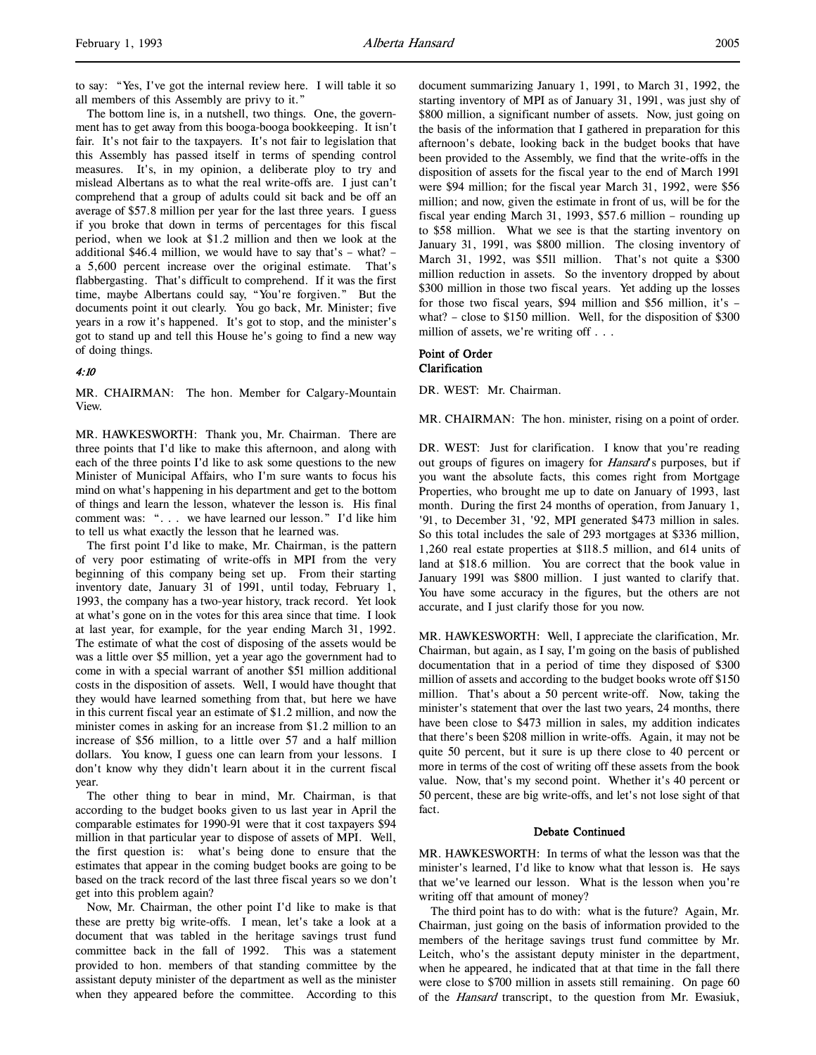The bottom line is, in a nutshell, two things. One, the government has to get away from this booga-booga bookkeeping. It isn't fair. It's not fair to the taxpayers. It's not fair to legislation that this Assembly has passed itself in terms of spending control measures. It's, in my opinion, a deliberate ploy to try and mislead Albertans as to what the real write-offs are. I just can't comprehend that a group of adults could sit back and be off an average of \$57.8 million per year for the last three years. I guess if you broke that down in terms of percentages for this fiscal period, when we look at \$1.2 million and then we look at the additional \$46.4 million, we would have to say that's – what? – a 5,600 percent increase over the original estimate. That's flabbergasting. That's difficult to comprehend. If it was the first time, maybe Albertans could say, "You're forgiven." But the documents point it out clearly. You go back, Mr. Minister; five years in a row it's happened. It's got to stop, and the minister's got to stand up and tell this House he's going to find a new way of doing things.

# 4:10

MR. CHAIRMAN: The hon. Member for Calgary-Mountain View.

MR. HAWKESWORTH: Thank you, Mr. Chairman. There are three points that I'd like to make this afternoon, and along with each of the three points I'd like to ask some questions to the new Minister of Municipal Affairs, who I'm sure wants to focus his mind on what's happening in his department and get to the bottom of things and learn the lesson, whatever the lesson is. His final comment was: ". . . we have learned our lesson." I'd like him to tell us what exactly the lesson that he learned was.

The first point I'd like to make, Mr. Chairman, is the pattern of very poor estimating of write-offs in MPI from the very beginning of this company being set up. From their starting inventory date, January 31 of 1991, until today, February 1, 1993, the company has a two-year history, track record. Yet look at what's gone on in the votes for this area since that time. I look at last year, for example, for the year ending March 31, 1992. The estimate of what the cost of disposing of the assets would be was a little over \$5 million, yet a year ago the government had to come in with a special warrant of another \$51 million additional costs in the disposition of assets. Well, I would have thought that they would have learned something from that, but here we have in this current fiscal year an estimate of \$1.2 million, and now the minister comes in asking for an increase from \$1.2 million to an increase of \$56 million, to a little over 57 and a half million dollars. You know, I guess one can learn from your lessons. I don't know why they didn't learn about it in the current fiscal year.

The other thing to bear in mind, Mr. Chairman, is that according to the budget books given to us last year in April the comparable estimates for 1990-91 were that it cost taxpayers \$94 million in that particular year to dispose of assets of MPI. Well, the first question is: what's being done to ensure that the estimates that appear in the coming budget books are going to be based on the track record of the last three fiscal years so we don't get into this problem again?

Now, Mr. Chairman, the other point I'd like to make is that these are pretty big write-offs. I mean, let's take a look at a document that was tabled in the heritage savings trust fund committee back in the fall of 1992. This was a statement provided to hon. members of that standing committee by the assistant deputy minister of the department as well as the minister when they appeared before the committee. According to this

document summarizing January 1, 1991, to March 31, 1992, the starting inventory of MPI as of January 31, 1991, was just shy of \$800 million, a significant number of assets. Now, just going on the basis of the information that I gathered in preparation for this afternoon's debate, looking back in the budget books that have been provided to the Assembly, we find that the write-offs in the disposition of assets for the fiscal year to the end of March 1991 were \$94 million; for the fiscal year March 31, 1992, were \$56 million; and now, given the estimate in front of us, will be for the fiscal year ending March 31, 1993, \$57.6 million – rounding up to \$58 million. What we see is that the starting inventory on January 31, 1991, was \$800 million. The closing inventory of March 31, 1992, was \$511 million. That's not quite a \$300 million reduction in assets. So the inventory dropped by about \$300 million in those two fiscal years. Yet adding up the losses for those two fiscal years, \$94 million and \$56 million, it's – what? – close to \$150 million. Well, for the disposition of \$300 million of assets, we're writing off . . .

# Point of Order

# Clarification

DR. WEST: Mr. Chairman.

MR. CHAIRMAN: The hon. minister, rising on a point of order.

DR. WEST: Just for clarification. I know that you're reading out groups of figures on imagery for Hansard's purposes, but if you want the absolute facts, this comes right from Mortgage Properties, who brought me up to date on January of 1993, last month. During the first 24 months of operation, from January 1, '91, to December 31, '92, MPI generated \$473 million in sales. So this total includes the sale of 293 mortgages at \$336 million, 1,260 real estate properties at \$118.5 million, and 614 units of land at \$18.6 million. You are correct that the book value in January 1991 was \$800 million. I just wanted to clarify that. You have some accuracy in the figures, but the others are not accurate, and I just clarify those for you now.

MR. HAWKESWORTH: Well, I appreciate the clarification, Mr. Chairman, but again, as I say, I'm going on the basis of published documentation that in a period of time they disposed of \$300 million of assets and according to the budget books wrote off \$150 million. That's about a 50 percent write-off. Now, taking the minister's statement that over the last two years, 24 months, there have been close to \$473 million in sales, my addition indicates that there's been \$208 million in write-offs. Again, it may not be quite 50 percent, but it sure is up there close to 40 percent or more in terms of the cost of writing off these assets from the book value. Now, that's my second point. Whether it's 40 percent or 50 percent, these are big write-offs, and let's not lose sight of that fact.

## Debate Continued

MR. HAWKESWORTH: In terms of what the lesson was that the minister's learned, I'd like to know what that lesson is. He says that we've learned our lesson. What is the lesson when you're writing off that amount of money?

The third point has to do with: what is the future? Again, Mr. Chairman, just going on the basis of information provided to the members of the heritage savings trust fund committee by Mr. Leitch, who's the assistant deputy minister in the department, when he appeared, he indicated that at that time in the fall there were close to \$700 million in assets still remaining. On page 60 of the Hansard transcript, to the question from Mr. Ewasiuk,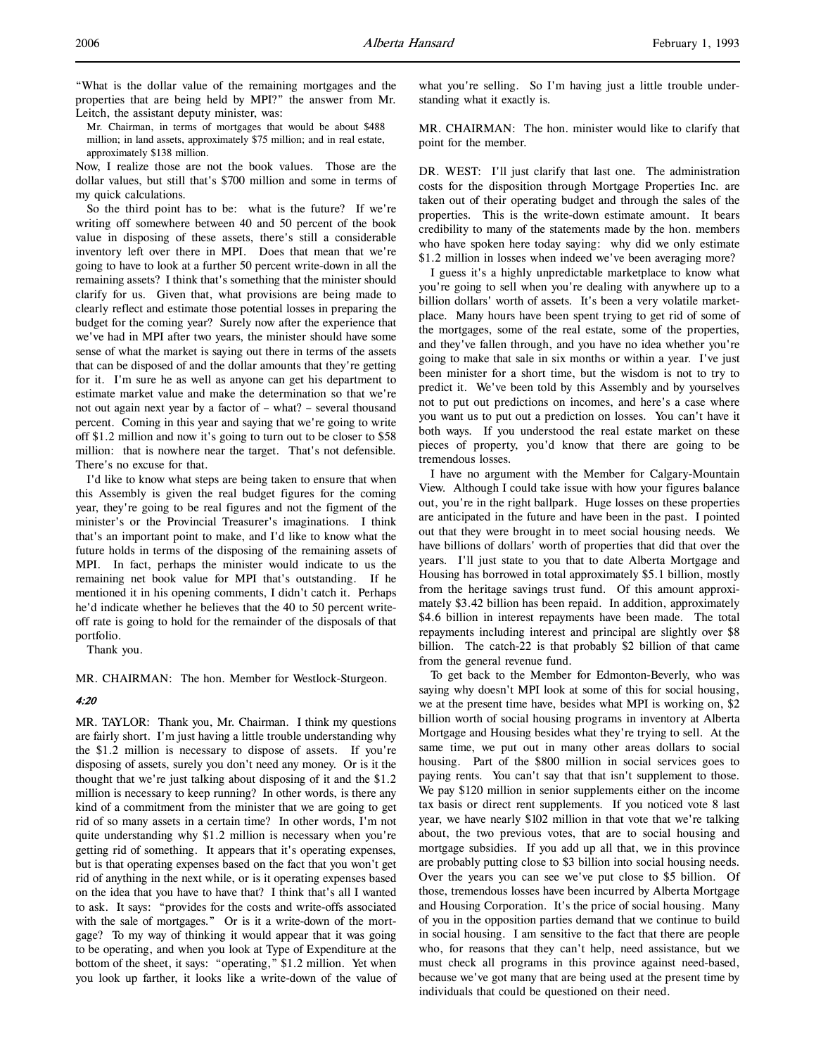"What is the dollar value of the remaining mortgages and the properties that are being held by MPI?" the answer from Mr. Leitch, the assistant deputy minister, was:

Mr. Chairman, in terms of mortgages that would be about \$488 million; in land assets, approximately \$75 million; and in real estate, approximately \$138 million.

Now, I realize those are not the book values. Those are the dollar values, but still that's \$700 million and some in terms of my quick calculations.

So the third point has to be: what is the future? If we're writing off somewhere between 40 and 50 percent of the book value in disposing of these assets, there's still a considerable inventory left over there in MPI. Does that mean that we're going to have to look at a further 50 percent write-down in all the remaining assets? I think that's something that the minister should clarify for us. Given that, what provisions are being made to clearly reflect and estimate those potential losses in preparing the budget for the coming year? Surely now after the experience that we've had in MPI after two years, the minister should have some sense of what the market is saying out there in terms of the assets that can be disposed of and the dollar amounts that they're getting for it. I'm sure he as well as anyone can get his department to estimate market value and make the determination so that we're not out again next year by a factor of – what? – several thousand percent. Coming in this year and saying that we're going to write off \$1.2 million and now it's going to turn out to be closer to \$58 million: that is nowhere near the target. That's not defensible. There's no excuse for that.

I'd like to know what steps are being taken to ensure that when this Assembly is given the real budget figures for the coming year, they're going to be real figures and not the figment of the minister's or the Provincial Treasurer's imaginations. I think that's an important point to make, and I'd like to know what the future holds in terms of the disposing of the remaining assets of MPI. In fact, perhaps the minister would indicate to us the remaining net book value for MPI that's outstanding. If he mentioned it in his opening comments, I didn't catch it. Perhaps he'd indicate whether he believes that the 40 to 50 percent writeoff rate is going to hold for the remainder of the disposals of that portfolio.

Thank you.

MR. CHAIRMAN: The hon. Member for Westlock-Sturgeon.

# 4:20

MR. TAYLOR: Thank you, Mr. Chairman. I think my questions are fairly short. I'm just having a little trouble understanding why the \$1.2 million is necessary to dispose of assets. If you're disposing of assets, surely you don't need any money. Or is it the thought that we're just talking about disposing of it and the \$1.2 million is necessary to keep running? In other words, is there any kind of a commitment from the minister that we are going to get rid of so many assets in a certain time? In other words, I'm not quite understanding why \$1.2 million is necessary when you're getting rid of something. It appears that it's operating expenses, but is that operating expenses based on the fact that you won't get rid of anything in the next while, or is it operating expenses based on the idea that you have to have that? I think that's all I wanted to ask. It says: "provides for the costs and write-offs associated with the sale of mortgages." Or is it a write-down of the mortgage? To my way of thinking it would appear that it was going to be operating, and when you look at Type of Expenditure at the bottom of the sheet, it says: "operating," \$1.2 million. Yet when you look up farther, it looks like a write-down of the value of what you're selling. So I'm having just a little trouble understanding what it exactly is.

MR. CHAIRMAN: The hon. minister would like to clarify that point for the member.

DR. WEST: I'll just clarify that last one. The administration costs for the disposition through Mortgage Properties Inc. are taken out of their operating budget and through the sales of the properties. This is the write-down estimate amount. It bears credibility to many of the statements made by the hon. members who have spoken here today saying: why did we only estimate \$1.2 million in losses when indeed we've been averaging more?

I guess it's a highly unpredictable marketplace to know what you're going to sell when you're dealing with anywhere up to a billion dollars' worth of assets. It's been a very volatile marketplace. Many hours have been spent trying to get rid of some of the mortgages, some of the real estate, some of the properties, and they've fallen through, and you have no idea whether you're going to make that sale in six months or within a year. I've just been minister for a short time, but the wisdom is not to try to predict it. We've been told by this Assembly and by yourselves not to put out predictions on incomes, and here's a case where you want us to put out a prediction on losses. You can't have it both ways. If you understood the real estate market on these pieces of property, you'd know that there are going to be tremendous losses.

I have no argument with the Member for Calgary-Mountain View. Although I could take issue with how your figures balance out, you're in the right ballpark. Huge losses on these properties are anticipated in the future and have been in the past. I pointed out that they were brought in to meet social housing needs. We have billions of dollars' worth of properties that did that over the years. I'll just state to you that to date Alberta Mortgage and Housing has borrowed in total approximately \$5.1 billion, mostly from the heritage savings trust fund. Of this amount approximately \$3.42 billion has been repaid. In addition, approximately \$4.6 billion in interest repayments have been made. The total repayments including interest and principal are slightly over \$8 billion. The catch-22 is that probably \$2 billion of that came from the general revenue fund.

To get back to the Member for Edmonton-Beverly, who was saying why doesn't MPI look at some of this for social housing, we at the present time have, besides what MPI is working on, \$2 billion worth of social housing programs in inventory at Alberta Mortgage and Housing besides what they're trying to sell. At the same time, we put out in many other areas dollars to social housing. Part of the \$800 million in social services goes to paying rents. You can't say that that isn't supplement to those. We pay \$120 million in senior supplements either on the income tax basis or direct rent supplements. If you noticed vote 8 last year, we have nearly \$102 million in that vote that we're talking about, the two previous votes, that are to social housing and mortgage subsidies. If you add up all that, we in this province are probably putting close to \$3 billion into social housing needs. Over the years you can see we've put close to \$5 billion. Of those, tremendous losses have been incurred by Alberta Mortgage and Housing Corporation. It's the price of social housing. Many of you in the opposition parties demand that we continue to build in social housing. I am sensitive to the fact that there are people who, for reasons that they can't help, need assistance, but we must check all programs in this province against need-based, because we've got many that are being used at the present time by individuals that could be questioned on their need.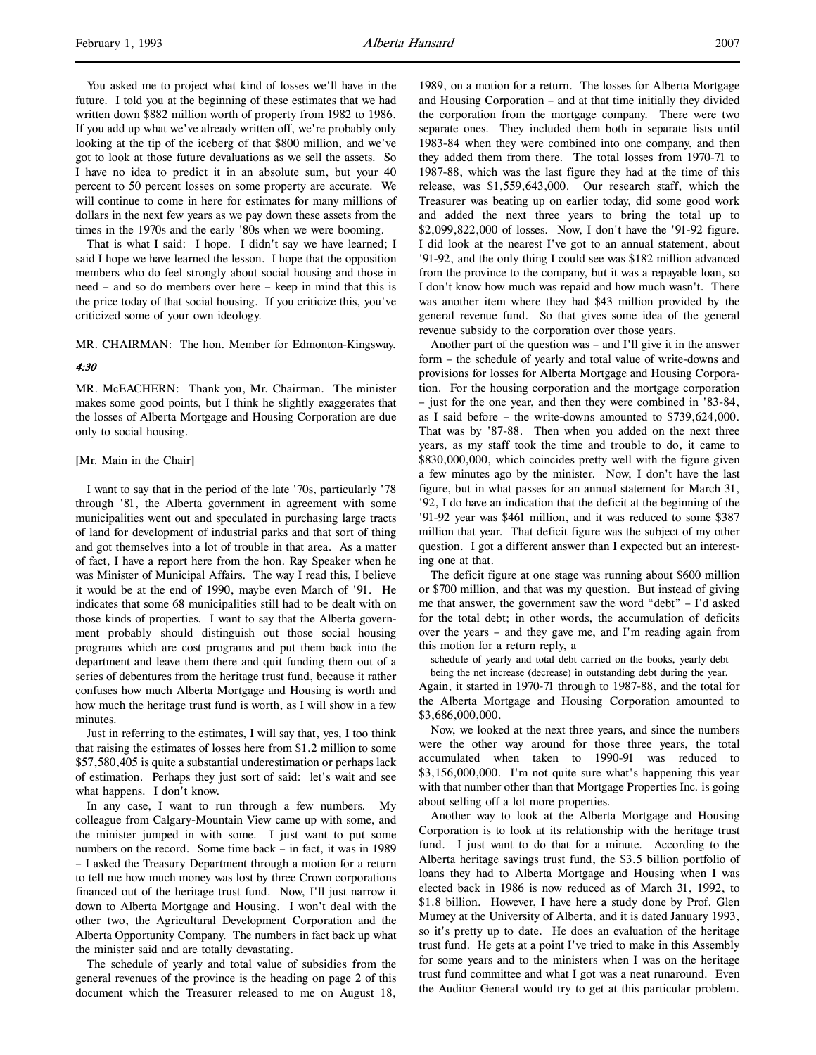You asked me to project what kind of losses we'll have in the future. I told you at the beginning of these estimates that we had written down \$882 million worth of property from 1982 to 1986. If you add up what we've already written off, we're probably only looking at the tip of the iceberg of that \$800 million, and we've got to look at those future devaluations as we sell the assets. So I have no idea to predict it in an absolute sum, but your 40 percent to 50 percent losses on some property are accurate. We will continue to come in here for estimates for many millions of dollars in the next few years as we pay down these assets from the times in the 1970s and the early '80s when we were booming.

That is what I said: I hope. I didn't say we have learned; I said I hope we have learned the lesson. I hope that the opposition members who do feel strongly about social housing and those in need – and so do members over here – keep in mind that this is the price today of that social housing. If you criticize this, you've criticized some of your own ideology.

MR. CHAIRMAN: The hon. Member for Edmonton-Kingsway.

#### 4:30

MR. McEACHERN: Thank you, Mr. Chairman. The minister makes some good points, but I think he slightly exaggerates that the losses of Alberta Mortgage and Housing Corporation are due only to social housing.

#### [Mr. Main in the Chair]

I want to say that in the period of the late '70s, particularly '78 through '81, the Alberta government in agreement with some municipalities went out and speculated in purchasing large tracts of land for development of industrial parks and that sort of thing and got themselves into a lot of trouble in that area. As a matter of fact, I have a report here from the hon. Ray Speaker when he was Minister of Municipal Affairs. The way I read this, I believe it would be at the end of 1990, maybe even March of '91. He indicates that some 68 municipalities still had to be dealt with on those kinds of properties. I want to say that the Alberta government probably should distinguish out those social housing programs which are cost programs and put them back into the department and leave them there and quit funding them out of a series of debentures from the heritage trust fund, because it rather confuses how much Alberta Mortgage and Housing is worth and how much the heritage trust fund is worth, as I will show in a few minutes.

Just in referring to the estimates, I will say that, yes, I too think that raising the estimates of losses here from \$1.2 million to some \$57,580,405 is quite a substantial underestimation or perhaps lack of estimation. Perhaps they just sort of said: let's wait and see what happens. I don't know.

In any case, I want to run through a few numbers. My colleague from Calgary-Mountain View came up with some, and the minister jumped in with some. I just want to put some numbers on the record. Some time back – in fact, it was in 1989 – I asked the Treasury Department through a motion for a return to tell me how much money was lost by three Crown corporations financed out of the heritage trust fund. Now, I'll just narrow it down to Alberta Mortgage and Housing. I won't deal with the other two, the Agricultural Development Corporation and the Alberta Opportunity Company. The numbers in fact back up what the minister said and are totally devastating.

The schedule of yearly and total value of subsidies from the general revenues of the province is the heading on page 2 of this document which the Treasurer released to me on August 18,

1989, on a motion for a return. The losses for Alberta Mortgage and Housing Corporation – and at that time initially they divided the corporation from the mortgage company. There were two separate ones. They included them both in separate lists until 1983-84 when they were combined into one company, and then they added them from there. The total losses from 1970-71 to 1987-88, which was the last figure they had at the time of this release, was \$1,559,643,000. Our research staff, which the Treasurer was beating up on earlier today, did some good work and added the next three years to bring the total up to \$2,099,822,000 of losses. Now, I don't have the '91-92 figure. I did look at the nearest I've got to an annual statement, about '91-92, and the only thing I could see was \$182 million advanced from the province to the company, but it was a repayable loan, so I don't know how much was repaid and how much wasn't. There was another item where they had \$43 million provided by the general revenue fund. So that gives some idea of the general revenue subsidy to the corporation over those years.

Another part of the question was – and I'll give it in the answer form – the schedule of yearly and total value of write-downs and provisions for losses for Alberta Mortgage and Housing Corporation. For the housing corporation and the mortgage corporation – just for the one year, and then they were combined in '83-84, as I said before – the write-downs amounted to \$739,624,000. That was by '87-88. Then when you added on the next three years, as my staff took the time and trouble to do, it came to \$830,000,000, which coincides pretty well with the figure given a few minutes ago by the minister. Now, I don't have the last figure, but in what passes for an annual statement for March 31, '92, I do have an indication that the deficit at the beginning of the '91-92 year was \$461 million, and it was reduced to some \$387 million that year. That deficit figure was the subject of my other question. I got a different answer than I expected but an interesting one at that.

The deficit figure at one stage was running about \$600 million or \$700 million, and that was my question. But instead of giving me that answer, the government saw the word "debt" – I'd asked for the total debt; in other words, the accumulation of deficits over the years – and they gave me, and I'm reading again from this motion for a return reply, a

schedule of yearly and total debt carried on the books, yearly debt

being the net increase (decrease) in outstanding debt during the year. Again, it started in 1970-71 through to 1987-88, and the total for the Alberta Mortgage and Housing Corporation amounted to \$3,686,000,000.

Now, we looked at the next three years, and since the numbers were the other way around for those three years, the total accumulated when taken to 1990-91 was reduced to \$3,156,000,000. I'm not quite sure what's happening this year with that number other than that Mortgage Properties Inc. is going about selling off a lot more properties.

Another way to look at the Alberta Mortgage and Housing Corporation is to look at its relationship with the heritage trust fund. I just want to do that for a minute. According to the Alberta heritage savings trust fund, the \$3.5 billion portfolio of loans they had to Alberta Mortgage and Housing when I was elected back in 1986 is now reduced as of March 31, 1992, to \$1.8 billion. However, I have here a study done by Prof. Glen Mumey at the University of Alberta, and it is dated January 1993, so it's pretty up to date. He does an evaluation of the heritage trust fund. He gets at a point I've tried to make in this Assembly for some years and to the ministers when I was on the heritage trust fund committee and what I got was a neat runaround. Even the Auditor General would try to get at this particular problem.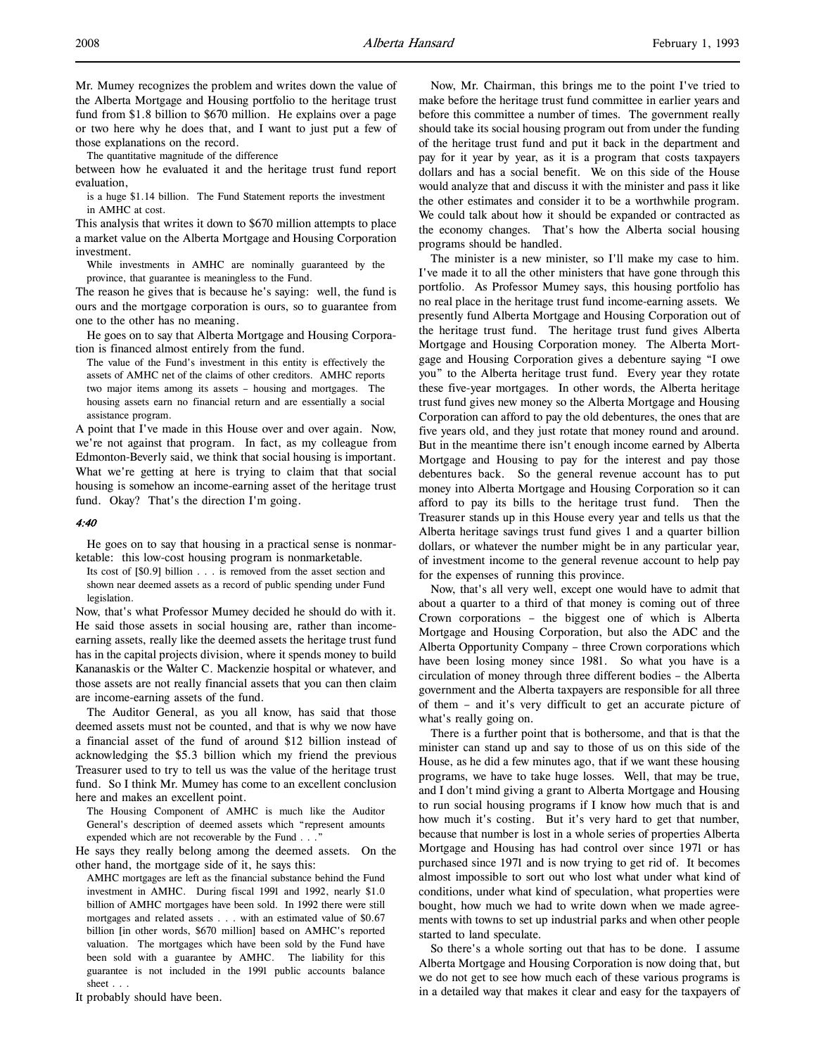Mr. Mumey recognizes the problem and writes down the value of the Alberta Mortgage and Housing portfolio to the heritage trust fund from \$1.8 billion to \$670 million. He explains over a page or two here why he does that, and I want to just put a few of those explanations on the record.

The quantitative magnitude of the difference

between how he evaluated it and the heritage trust fund report evaluation,

is a huge \$1.14 billion. The Fund Statement reports the investment in AMHC at cost.

This analysis that writes it down to \$670 million attempts to place a market value on the Alberta Mortgage and Housing Corporation investment.

While investments in AMHC are nominally guaranteed by the province, that guarantee is meaningless to the Fund.

The reason he gives that is because he's saying: well, the fund is ours and the mortgage corporation is ours, so to guarantee from one to the other has no meaning.

He goes on to say that Alberta Mortgage and Housing Corporation is financed almost entirely from the fund.

The value of the Fund's investment in this entity is effectively the assets of AMHC net of the claims of other creditors. AMHC reports two major items among its assets – housing and mortgages. The housing assets earn no financial return and are essentially a social assistance program.

A point that I've made in this House over and over again. Now, we're not against that program. In fact, as my colleague from Edmonton-Beverly said, we think that social housing is important. What we're getting at here is trying to claim that that social housing is somehow an income-earning asset of the heritage trust fund. Okay? That's the direction I'm going.

#### 4:40

He goes on to say that housing in a practical sense is nonmarketable: this low-cost housing program is nonmarketable.

Its cost of [\$0.9] billion . . . is removed from the asset section and shown near deemed assets as a record of public spending under Fund legislation.

Now, that's what Professor Mumey decided he should do with it. He said those assets in social housing are, rather than incomeearning assets, really like the deemed assets the heritage trust fund has in the capital projects division, where it spends money to build Kananaskis or the Walter C. Mackenzie hospital or whatever, and those assets are not really financial assets that you can then claim are income-earning assets of the fund.

The Auditor General, as you all know, has said that those deemed assets must not be counted, and that is why we now have a financial asset of the fund of around \$12 billion instead of acknowledging the \$5.3 billion which my friend the previous Treasurer used to try to tell us was the value of the heritage trust fund. So I think Mr. Mumey has come to an excellent conclusion here and makes an excellent point.

The Housing Component of AMHC is much like the Auditor General's description of deemed assets which "represent amounts expended which are not recoverable by the Fund . . ."

He says they really belong among the deemed assets. On the other hand, the mortgage side of it, he says this:

AMHC mortgages are left as the financial substance behind the Fund investment in AMHC. During fiscal 1991 and 1992, nearly \$1.0 billion of AMHC mortgages have been sold. In 1992 there were still mortgages and related assets . . . with an estimated value of \$0.67 billion [in other words, \$670 million] based on AMHC's reported valuation. The mortgages which have been sold by the Fund have been sold with a guarantee by AMHC. The liability for this guarantee is not included in the 1991 public accounts balance sheet . . .

It probably should have been.

Now, Mr. Chairman, this brings me to the point I've tried to make before the heritage trust fund committee in earlier years and before this committee a number of times. The government really should take its social housing program out from under the funding of the heritage trust fund and put it back in the department and pay for it year by year, as it is a program that costs taxpayers dollars and has a social benefit. We on this side of the House would analyze that and discuss it with the minister and pass it like the other estimates and consider it to be a worthwhile program. We could talk about how it should be expanded or contracted as the economy changes. That's how the Alberta social housing programs should be handled.

The minister is a new minister, so I'll make my case to him. I've made it to all the other ministers that have gone through this portfolio. As Professor Mumey says, this housing portfolio has no real place in the heritage trust fund income-earning assets. We presently fund Alberta Mortgage and Housing Corporation out of the heritage trust fund. The heritage trust fund gives Alberta Mortgage and Housing Corporation money. The Alberta Mortgage and Housing Corporation gives a debenture saying "I owe you" to the Alberta heritage trust fund. Every year they rotate these five-year mortgages. In other words, the Alberta heritage trust fund gives new money so the Alberta Mortgage and Housing Corporation can afford to pay the old debentures, the ones that are five years old, and they just rotate that money round and around. But in the meantime there isn't enough income earned by Alberta Mortgage and Housing to pay for the interest and pay those debentures back. So the general revenue account has to put money into Alberta Mortgage and Housing Corporation so it can afford to pay its bills to the heritage trust fund. Then the Treasurer stands up in this House every year and tells us that the Alberta heritage savings trust fund gives 1 and a quarter billion dollars, or whatever the number might be in any particular year, of investment income to the general revenue account to help pay for the expenses of running this province.

Now, that's all very well, except one would have to admit that about a quarter to a third of that money is coming out of three Crown corporations – the biggest one of which is Alberta Mortgage and Housing Corporation, but also the ADC and the Alberta Opportunity Company – three Crown corporations which have been losing money since 1981. So what you have is a circulation of money through three different bodies – the Alberta government and the Alberta taxpayers are responsible for all three of them – and it's very difficult to get an accurate picture of what's really going on.

There is a further point that is bothersome, and that is that the minister can stand up and say to those of us on this side of the House, as he did a few minutes ago, that if we want these housing programs, we have to take huge losses. Well, that may be true, and I don't mind giving a grant to Alberta Mortgage and Housing to run social housing programs if I know how much that is and how much it's costing. But it's very hard to get that number, because that number is lost in a whole series of properties Alberta Mortgage and Housing has had control over since 1971 or has purchased since 1971 and is now trying to get rid of. It becomes almost impossible to sort out who lost what under what kind of conditions, under what kind of speculation, what properties were bought, how much we had to write down when we made agreements with towns to set up industrial parks and when other people started to land speculate.

So there's a whole sorting out that has to be done. I assume Alberta Mortgage and Housing Corporation is now doing that, but we do not get to see how much each of these various programs is in a detailed way that makes it clear and easy for the taxpayers of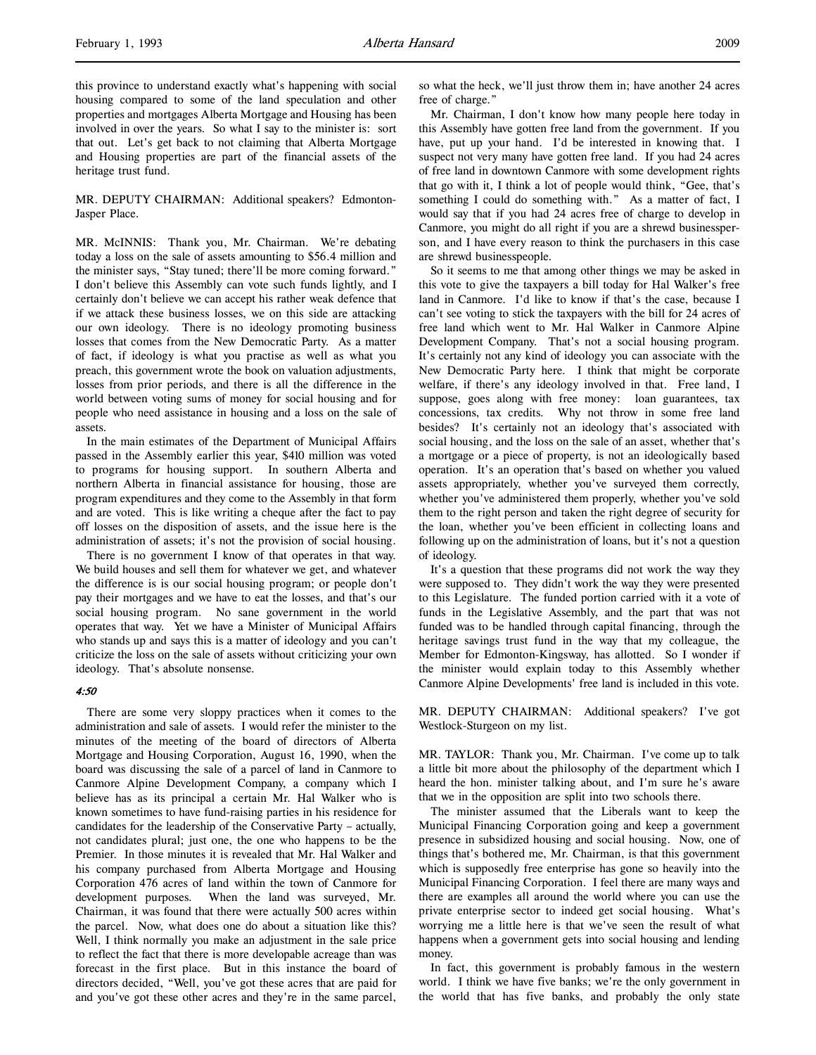MR. DEPUTY CHAIRMAN: Additional speakers? Edmonton-Jasper Place.

MR. McINNIS: Thank you, Mr. Chairman. We're debating today a loss on the sale of assets amounting to \$56.4 million and the minister says, "Stay tuned; there'll be more coming forward." I don't believe this Assembly can vote such funds lightly, and I certainly don't believe we can accept his rather weak defence that if we attack these business losses, we on this side are attacking our own ideology. There is no ideology promoting business losses that comes from the New Democratic Party. As a matter of fact, if ideology is what you practise as well as what you preach, this government wrote the book on valuation adjustments, losses from prior periods, and there is all the difference in the world between voting sums of money for social housing and for people who need assistance in housing and a loss on the sale of assets.

In the main estimates of the Department of Municipal Affairs passed in the Assembly earlier this year, \$410 million was voted to programs for housing support. In southern Alberta and northern Alberta in financial assistance for housing, those are program expenditures and they come to the Assembly in that form and are voted. This is like writing a cheque after the fact to pay off losses on the disposition of assets, and the issue here is the administration of assets; it's not the provision of social housing.

There is no government I know of that operates in that way. We build houses and sell them for whatever we get, and whatever the difference is is our social housing program; or people don't pay their mortgages and we have to eat the losses, and that's our social housing program. No sane government in the world operates that way. Yet we have a Minister of Municipal Affairs who stands up and says this is a matter of ideology and you can't criticize the loss on the sale of assets without criticizing your own ideology. That's absolute nonsense.

#### 4:50

There are some very sloppy practices when it comes to the administration and sale of assets. I would refer the minister to the minutes of the meeting of the board of directors of Alberta Mortgage and Housing Corporation, August 16, 1990, when the board was discussing the sale of a parcel of land in Canmore to Canmore Alpine Development Company, a company which I believe has as its principal a certain Mr. Hal Walker who is known sometimes to have fund-raising parties in his residence for candidates for the leadership of the Conservative Party – actually, not candidates plural; just one, the one who happens to be the Premier. In those minutes it is revealed that Mr. Hal Walker and his company purchased from Alberta Mortgage and Housing Corporation 476 acres of land within the town of Canmore for development purposes. When the land was surveyed, Mr. Chairman, it was found that there were actually 500 acres within the parcel. Now, what does one do about a situation like this? Well, I think normally you make an adjustment in the sale price to reflect the fact that there is more developable acreage than was forecast in the first place. But in this instance the board of directors decided, "Well, you've got these acres that are paid for and you've got these other acres and they're in the same parcel,

so what the heck, we'll just throw them in; have another 24 acres free of charge."

Mr. Chairman, I don't know how many people here today in this Assembly have gotten free land from the government. If you have, put up your hand. I'd be interested in knowing that. I suspect not very many have gotten free land. If you had 24 acres of free land in downtown Canmore with some development rights that go with it, I think a lot of people would think, "Gee, that's something I could do something with." As a matter of fact, I would say that if you had 24 acres free of charge to develop in Canmore, you might do all right if you are a shrewd businessperson, and I have every reason to think the purchasers in this case are shrewd businesspeople.

So it seems to me that among other things we may be asked in this vote to give the taxpayers a bill today for Hal Walker's free land in Canmore. I'd like to know if that's the case, because I can't see voting to stick the taxpayers with the bill for 24 acres of free land which went to Mr. Hal Walker in Canmore Alpine Development Company. That's not a social housing program. It's certainly not any kind of ideology you can associate with the New Democratic Party here. I think that might be corporate welfare, if there's any ideology involved in that. Free land, I suppose, goes along with free money: loan guarantees, tax concessions, tax credits. Why not throw in some free land besides? It's certainly not an ideology that's associated with social housing, and the loss on the sale of an asset, whether that's a mortgage or a piece of property, is not an ideologically based operation. It's an operation that's based on whether you valued assets appropriately, whether you've surveyed them correctly, whether you've administered them properly, whether you've sold them to the right person and taken the right degree of security for the loan, whether you've been efficient in collecting loans and following up on the administration of loans, but it's not a question of ideology.

It's a question that these programs did not work the way they were supposed to. They didn't work the way they were presented to this Legislature. The funded portion carried with it a vote of funds in the Legislative Assembly, and the part that was not funded was to be handled through capital financing, through the heritage savings trust fund in the way that my colleague, the Member for Edmonton-Kingsway, has allotted. So I wonder if the minister would explain today to this Assembly whether Canmore Alpine Developments' free land is included in this vote.

MR. DEPUTY CHAIRMAN: Additional speakers? I've got Westlock-Sturgeon on my list.

MR. TAYLOR: Thank you, Mr. Chairman. I've come up to talk a little bit more about the philosophy of the department which I heard the hon. minister talking about, and I'm sure he's aware that we in the opposition are split into two schools there.

The minister assumed that the Liberals want to keep the Municipal Financing Corporation going and keep a government presence in subsidized housing and social housing. Now, one of things that's bothered me, Mr. Chairman, is that this government which is supposedly free enterprise has gone so heavily into the Municipal Financing Corporation. I feel there are many ways and there are examples all around the world where you can use the private enterprise sector to indeed get social housing. What's worrying me a little here is that we've seen the result of what happens when a government gets into social housing and lending money.

In fact, this government is probably famous in the western world. I think we have five banks; we're the only government in the world that has five banks, and probably the only state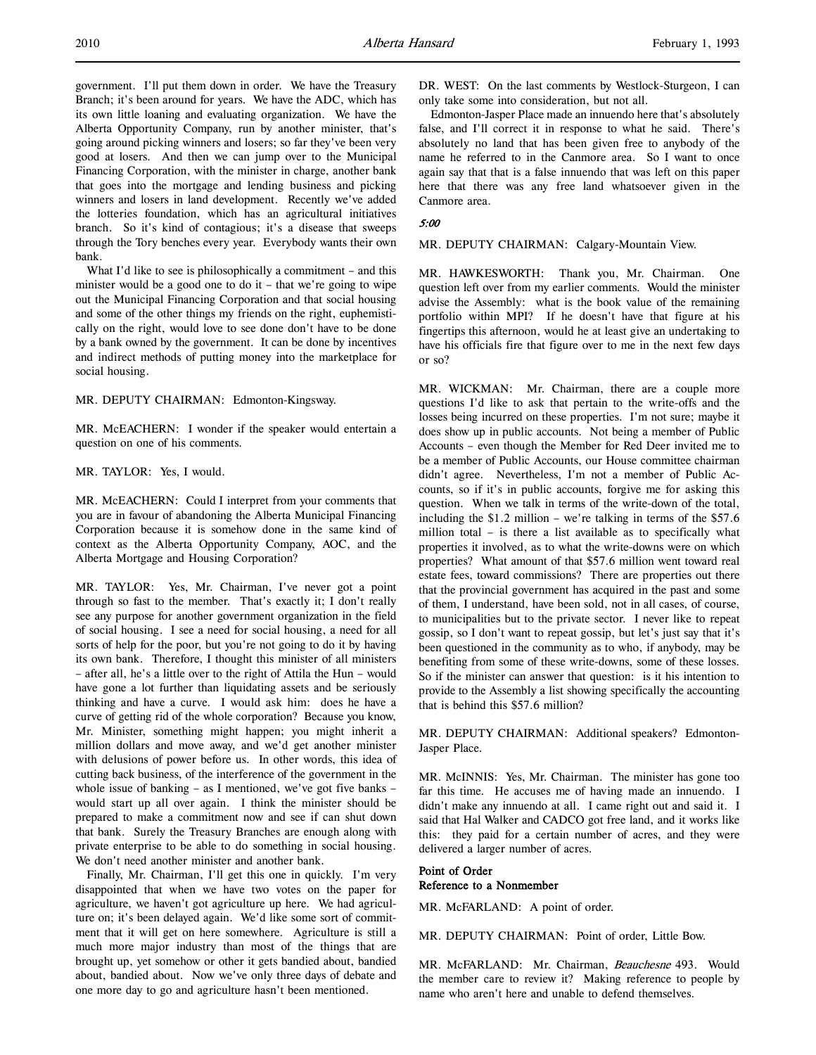government. I'll put them down in order. We have the Treasury Branch; it's been around for years. We have the ADC, which has its own little loaning and evaluating organization. We have the Alberta Opportunity Company, run by another minister, that's going around picking winners and losers; so far they've been very good at losers. And then we can jump over to the Municipal Financing Corporation, with the minister in charge, another bank that goes into the mortgage and lending business and picking winners and losers in land development. Recently we've added the lotteries foundation, which has an agricultural initiatives branch. So it's kind of contagious; it's a disease that sweeps through the Tory benches every year. Everybody wants their own bank.

What I'd like to see is philosophically a commitment – and this minister would be a good one to do it – that we're going to wipe out the Municipal Financing Corporation and that social housing and some of the other things my friends on the right, euphemistically on the right, would love to see done don't have to be done by a bank owned by the government. It can be done by incentives and indirect methods of putting money into the marketplace for social housing.

MR. DEPUTY CHAIRMAN: Edmonton-Kingsway.

MR. McEACHERN: I wonder if the speaker would entertain a question on one of his comments.

MR. TAYLOR: Yes, I would.

MR. McEACHERN: Could I interpret from your comments that you are in favour of abandoning the Alberta Municipal Financing Corporation because it is somehow done in the same kind of context as the Alberta Opportunity Company, AOC, and the Alberta Mortgage and Housing Corporation?

MR. TAYLOR: Yes, Mr. Chairman, I've never got a point through so fast to the member. That's exactly it; I don't really see any purpose for another government organization in the field of social housing. I see a need for social housing, a need for all sorts of help for the poor, but you're not going to do it by having its own bank. Therefore, I thought this minister of all ministers – after all, he's a little over to the right of Attila the Hun – would have gone a lot further than liquidating assets and be seriously thinking and have a curve. I would ask him: does he have a curve of getting rid of the whole corporation? Because you know, Mr. Minister, something might happen; you might inherit a million dollars and move away, and we'd get another minister with delusions of power before us. In other words, this idea of cutting back business, of the interference of the government in the whole issue of banking – as I mentioned, we've got five banks – would start up all over again. I think the minister should be prepared to make a commitment now and see if can shut down that bank. Surely the Treasury Branches are enough along with private enterprise to be able to do something in social housing. We don't need another minister and another bank.

Finally, Mr. Chairman, I'll get this one in quickly. I'm very disappointed that when we have two votes on the paper for agriculture, we haven't got agriculture up here. We had agriculture on; it's been delayed again. We'd like some sort of commitment that it will get on here somewhere. Agriculture is still a much more major industry than most of the things that are brought up, yet somehow or other it gets bandied about, bandied about, bandied about. Now we've only three days of debate and one more day to go and agriculture hasn't been mentioned.

DR. WEST: On the last comments by Westlock-Sturgeon, I can only take some into consideration, but not all.

Edmonton-Jasper Place made an innuendo here that's absolutely false, and I'll correct it in response to what he said. There's absolutely no land that has been given free to anybody of the name he referred to in the Canmore area. So I want to once again say that that is a false innuendo that was left on this paper here that there was any free land whatsoever given in the Canmore area.

#### 5:00

MR. DEPUTY CHAIRMAN: Calgary-Mountain View.

MR. HAWKESWORTH: Thank you, Mr. Chairman. One question left over from my earlier comments. Would the minister advise the Assembly: what is the book value of the remaining portfolio within MPI? If he doesn't have that figure at his fingertips this afternoon, would he at least give an undertaking to have his officials fire that figure over to me in the next few days or so?

MR. WICKMAN: Mr. Chairman, there are a couple more questions I'd like to ask that pertain to the write-offs and the losses being incurred on these properties. I'm not sure; maybe it does show up in public accounts. Not being a member of Public Accounts – even though the Member for Red Deer invited me to be a member of Public Accounts, our House committee chairman didn't agree. Nevertheless, I'm not a member of Public Accounts, so if it's in public accounts, forgive me for asking this question. When we talk in terms of the write-down of the total, including the \$1.2 million – we're talking in terms of the \$57.6 million total – is there a list available as to specifically what properties it involved, as to what the write-downs were on which properties? What amount of that \$57.6 million went toward real estate fees, toward commissions? There are properties out there that the provincial government has acquired in the past and some of them, I understand, have been sold, not in all cases, of course, to municipalities but to the private sector. I never like to repeat gossip, so I don't want to repeat gossip, but let's just say that it's been questioned in the community as to who, if anybody, may be benefiting from some of these write-downs, some of these losses. So if the minister can answer that question: is it his intention to provide to the Assembly a list showing specifically the accounting that is behind this \$57.6 million?

MR. DEPUTY CHAIRMAN: Additional speakers? Edmonton-Jasper Place.

MR. McINNIS: Yes, Mr. Chairman. The minister has gone too far this time. He accuses me of having made an innuendo. I didn't make any innuendo at all. I came right out and said it. I said that Hal Walker and CADCO got free land, and it works like this: they paid for a certain number of acres, and they were delivered a larger number of acres.

## Point of Order Reference to a Nonmember

MR. McFARLAND: A point of order.

MR. DEPUTY CHAIRMAN: Point of order, Little Bow.

MR. McFARLAND: Mr. Chairman, Beauchesne 493. Would the member care to review it? Making reference to people by name who aren't here and unable to defend themselves.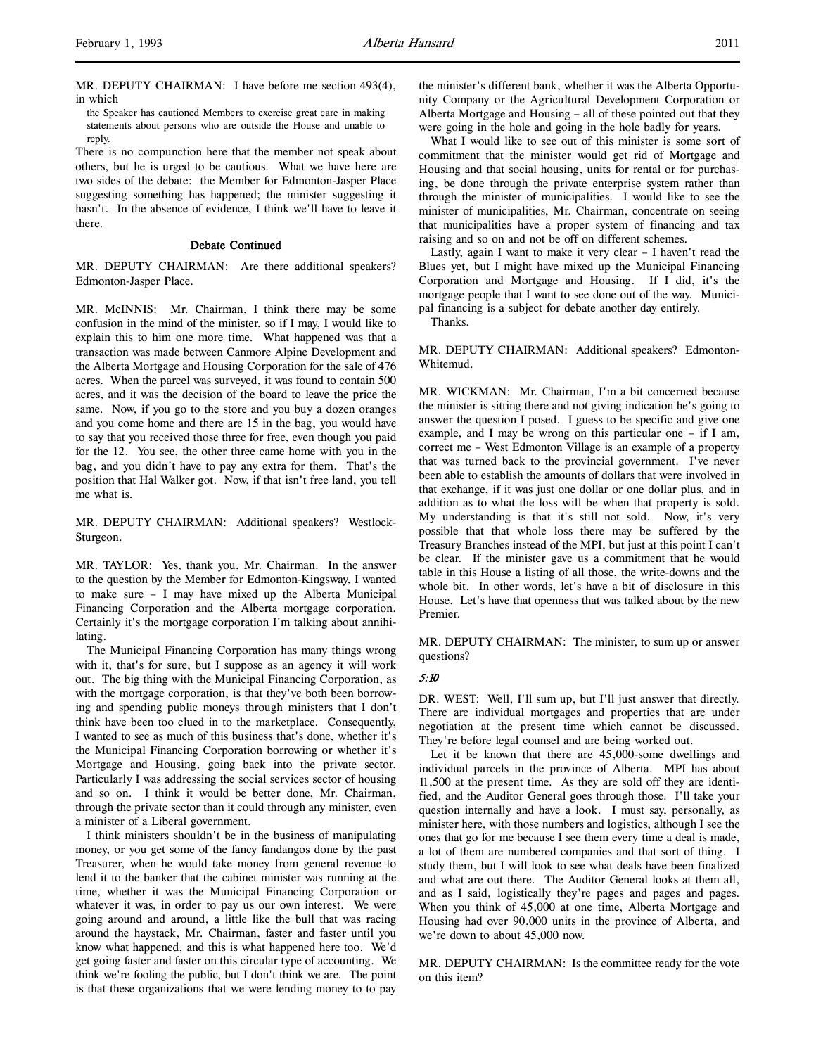MR. DEPUTY CHAIRMAN: I have before me section 493(4), in which

the Speaker has cautioned Members to exercise great care in making statements about persons who are outside the House and unable to reply.

There is no compunction here that the member not speak about others, but he is urged to be cautious. What we have here are two sides of the debate: the Member for Edmonton-Jasper Place suggesting something has happened; the minister suggesting it hasn't. In the absence of evidence, I think we'll have to leave it there.

# Debate Continued

MR. DEPUTY CHAIRMAN: Are there additional speakers? Edmonton-Jasper Place.

MR. McINNIS: Mr. Chairman, I think there may be some confusion in the mind of the minister, so if I may, I would like to explain this to him one more time. What happened was that a transaction was made between Canmore Alpine Development and the Alberta Mortgage and Housing Corporation for the sale of 476 acres. When the parcel was surveyed, it was found to contain 500 acres, and it was the decision of the board to leave the price the same. Now, if you go to the store and you buy a dozen oranges and you come home and there are 15 in the bag, you would have to say that you received those three for free, even though you paid for the 12. You see, the other three came home with you in the bag, and you didn't have to pay any extra for them. That's the position that Hal Walker got. Now, if that isn't free land, you tell me what is.

MR. DEPUTY CHAIRMAN: Additional speakers? Westlock-Sturgeon.

MR. TAYLOR: Yes, thank you, Mr. Chairman. In the answer to the question by the Member for Edmonton-Kingsway, I wanted to make sure – I may have mixed up the Alberta Municipal Financing Corporation and the Alberta mortgage corporation. Certainly it's the mortgage corporation I'm talking about annihilating.

The Municipal Financing Corporation has many things wrong with it, that's for sure, but I suppose as an agency it will work out. The big thing with the Municipal Financing Corporation, as with the mortgage corporation, is that they've both been borrowing and spending public moneys through ministers that I don't think have been too clued in to the marketplace. Consequently, I wanted to see as much of this business that's done, whether it's the Municipal Financing Corporation borrowing or whether it's Mortgage and Housing, going back into the private sector. Particularly I was addressing the social services sector of housing and so on. I think it would be better done, Mr. Chairman, through the private sector than it could through any minister, even a minister of a Liberal government.

I think ministers shouldn't be in the business of manipulating money, or you get some of the fancy fandangos done by the past Treasurer, when he would take money from general revenue to lend it to the banker that the cabinet minister was running at the time, whether it was the Municipal Financing Corporation or whatever it was, in order to pay us our own interest. We were going around and around, a little like the bull that was racing around the haystack, Mr. Chairman, faster and faster until you know what happened, and this is what happened here too. We'd get going faster and faster on this circular type of accounting. We think we're fooling the public, but I don't think we are. The point is that these organizations that we were lending money to to pay

the minister's different bank, whether it was the Alberta Opportunity Company or the Agricultural Development Corporation or Alberta Mortgage and Housing – all of these pointed out that they were going in the hole and going in the hole badly for years.

What I would like to see out of this minister is some sort of commitment that the minister would get rid of Mortgage and Housing and that social housing, units for rental or for purchasing, be done through the private enterprise system rather than through the minister of municipalities. I would like to see the minister of municipalities, Mr. Chairman, concentrate on seeing that municipalities have a proper system of financing and tax raising and so on and not be off on different schemes.

Lastly, again I want to make it very clear – I haven't read the Blues yet, but I might have mixed up the Municipal Financing Corporation and Mortgage and Housing. If I did, it's the mortgage people that I want to see done out of the way. Municipal financing is a subject for debate another day entirely.

Thanks.

MR. DEPUTY CHAIRMAN: Additional speakers? Edmonton-Whitemud.

MR. WICKMAN: Mr. Chairman, I'm a bit concerned because the minister is sitting there and not giving indication he's going to answer the question I posed. I guess to be specific and give one example, and I may be wrong on this particular one – if I am, correct me – West Edmonton Village is an example of a property that was turned back to the provincial government. I've never been able to establish the amounts of dollars that were involved in that exchange, if it was just one dollar or one dollar plus, and in addition as to what the loss will be when that property is sold. My understanding is that it's still not sold. Now, it's very possible that that whole loss there may be suffered by the Treasury Branches instead of the MPI, but just at this point I can't be clear. If the minister gave us a commitment that he would table in this House a listing of all those, the write-downs and the whole bit. In other words, let's have a bit of disclosure in this House. Let's have that openness that was talked about by the new Premier.

MR. DEPUTY CHAIRMAN: The minister, to sum up or answer questions?

#### 5:10

DR. WEST: Well, I'll sum up, but I'll just answer that directly. There are individual mortgages and properties that are under negotiation at the present time which cannot be discussed. They're before legal counsel and are being worked out.

Let it be known that there are 45,000-some dwellings and individual parcels in the province of Alberta. MPI has about 11,500 at the present time. As they are sold off they are identified, and the Auditor General goes through those. I'll take your question internally and have a look. I must say, personally, as minister here, with those numbers and logistics, although I see the ones that go for me because I see them every time a deal is made, a lot of them are numbered companies and that sort of thing. I study them, but I will look to see what deals have been finalized and what are out there. The Auditor General looks at them all, and as I said, logistically they're pages and pages and pages. When you think of 45,000 at one time, Alberta Mortgage and Housing had over 90,000 units in the province of Alberta, and we're down to about 45,000 now.

MR. DEPUTY CHAIRMAN: Is the committee ready for the vote on this item?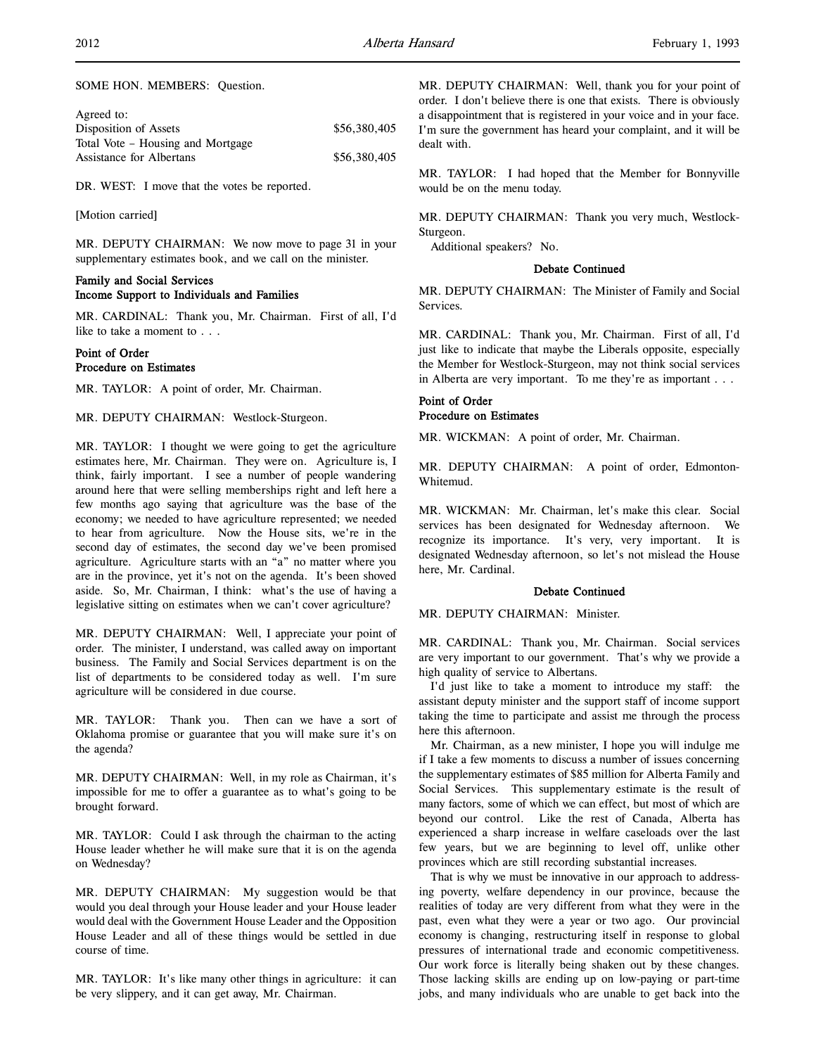| Agreed to:                        |              |
|-----------------------------------|--------------|
| Disposition of Assets             | \$56,380,405 |
| Total Vote – Housing and Mortgage |              |
| Assistance for Albertans          | \$56,380,405 |
|                                   |              |

DR. WEST: I move that the votes be reported.

[Motion carried]

MR. DEPUTY CHAIRMAN: We now move to page 31 in your supplementary estimates book, and we call on the minister.

# Family and Social Services Income Support to Individuals and Families

MR. CARDINAL: Thank you, Mr. Chairman. First of all, I'd like to take a moment to . . .

# Point of Order Procedure on Estimates

MR. TAYLOR: A point of order, Mr. Chairman.

MR. DEPUTY CHAIRMAN: Westlock-Sturgeon.

MR. TAYLOR: I thought we were going to get the agriculture estimates here, Mr. Chairman. They were on. Agriculture is, I think, fairly important. I see a number of people wandering around here that were selling memberships right and left here a few months ago saying that agriculture was the base of the economy; we needed to have agriculture represented; we needed to hear from agriculture. Now the House sits, we're in the second day of estimates, the second day we've been promised agriculture. Agriculture starts with an "a" no matter where you are in the province, yet it's not on the agenda. It's been shoved aside. So, Mr. Chairman, I think: what's the use of having a legislative sitting on estimates when we can't cover agriculture?

MR. DEPUTY CHAIRMAN: Well, I appreciate your point of order. The minister, I understand, was called away on important business. The Family and Social Services department is on the list of departments to be considered today as well. I'm sure agriculture will be considered in due course.

MR. TAYLOR: Thank you. Then can we have a sort of Oklahoma promise or guarantee that you will make sure it's on the agenda?

MR. DEPUTY CHAIRMAN: Well, in my role as Chairman, it's impossible for me to offer a guarantee as to what's going to be brought forward.

MR. TAYLOR: Could I ask through the chairman to the acting House leader whether he will make sure that it is on the agenda on Wednesday?

MR. DEPUTY CHAIRMAN: My suggestion would be that would you deal through your House leader and your House leader would deal with the Government House Leader and the Opposition House Leader and all of these things would be settled in due course of time.

MR. TAYLOR: It's like many other things in agriculture: it can be very slippery, and it can get away, Mr. Chairman.

MR. DEPUTY CHAIRMAN: Well, thank you for your point of order. I don't believe there is one that exists. There is obviously a disappointment that is registered in your voice and in your face. I'm sure the government has heard your complaint, and it will be dealt with.

MR. TAYLOR: I had hoped that the Member for Bonnyville would be on the menu today.

MR. DEPUTY CHAIRMAN: Thank you very much, Westlock-Sturgeon.

Additional speakers? No.

## Debate Continued

MR. DEPUTY CHAIRMAN: The Minister of Family and Social Services.

MR. CARDINAL: Thank you, Mr. Chairman. First of all, I'd just like to indicate that maybe the Liberals opposite, especially the Member for Westlock-Sturgeon, may not think social services in Alberta are very important. To me they're as important . . .

# Point of Order Procedure on Estimates

MR. WICKMAN: A point of order, Mr. Chairman.

MR. DEPUTY CHAIRMAN: A point of order, Edmonton-Whitemud.

MR. WICKMAN: Mr. Chairman, let's make this clear. Social services has been designated for Wednesday afternoon. We recognize its importance. It's very, very important. It is designated Wednesday afternoon, so let's not mislead the House here, Mr. Cardinal.

# Debate Continued

MR. DEPUTY CHAIRMAN: Minister.

MR. CARDINAL: Thank you, Mr. Chairman. Social services are very important to our government. That's why we provide a high quality of service to Albertans.

I'd just like to take a moment to introduce my staff: the assistant deputy minister and the support staff of income support taking the time to participate and assist me through the process here this afternoon.

Mr. Chairman, as a new minister, I hope you will indulge me if I take a few moments to discuss a number of issues concerning the supplementary estimates of \$85 million for Alberta Family and Social Services. This supplementary estimate is the result of many factors, some of which we can effect, but most of which are beyond our control. Like the rest of Canada, Alberta has experienced a sharp increase in welfare caseloads over the last few years, but we are beginning to level off, unlike other provinces which are still recording substantial increases.

That is why we must be innovative in our approach to addressing poverty, welfare dependency in our province, because the realities of today are very different from what they were in the past, even what they were a year or two ago. Our provincial economy is changing, restructuring itself in response to global pressures of international trade and economic competitiveness. Our work force is literally being shaken out by these changes. Those lacking skills are ending up on low-paying or part-time jobs, and many individuals who are unable to get back into the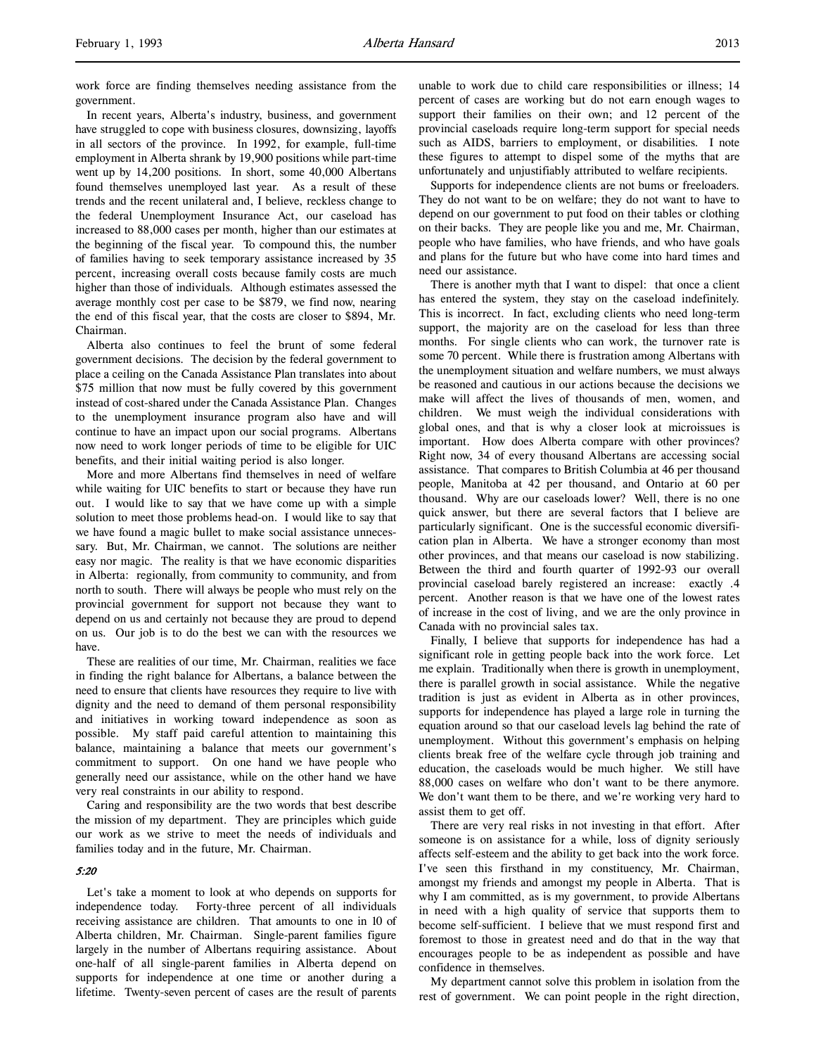work force are finding themselves needing assistance from the government.

In recent years, Alberta's industry, business, and government have struggled to cope with business closures, downsizing, layoffs in all sectors of the province. In 1992, for example, full-time employment in Alberta shrank by 19,900 positions while part-time went up by 14,200 positions. In short, some 40,000 Albertans found themselves unemployed last year. As a result of these trends and the recent unilateral and, I believe, reckless change to the federal Unemployment Insurance Act, our caseload has increased to 88,000 cases per month, higher than our estimates at the beginning of the fiscal year. To compound this, the number of families having to seek temporary assistance increased by 35 percent, increasing overall costs because family costs are much higher than those of individuals. Although estimates assessed the average monthly cost per case to be \$879, we find now, nearing the end of this fiscal year, that the costs are closer to \$894, Mr. Chairman.

Alberta also continues to feel the brunt of some federal government decisions. The decision by the federal government to place a ceiling on the Canada Assistance Plan translates into about \$75 million that now must be fully covered by this government instead of cost-shared under the Canada Assistance Plan. Changes to the unemployment insurance program also have and will continue to have an impact upon our social programs. Albertans now need to work longer periods of time to be eligible for UIC benefits, and their initial waiting period is also longer.

More and more Albertans find themselves in need of welfare while waiting for UIC benefits to start or because they have run out. I would like to say that we have come up with a simple solution to meet those problems head-on. I would like to say that we have found a magic bullet to make social assistance unnecessary. But, Mr. Chairman, we cannot. The solutions are neither easy nor magic. The reality is that we have economic disparities in Alberta: regionally, from community to community, and from north to south. There will always be people who must rely on the provincial government for support not because they want to depend on us and certainly not because they are proud to depend on us. Our job is to do the best we can with the resources we have.

These are realities of our time, Mr. Chairman, realities we face in finding the right balance for Albertans, a balance between the need to ensure that clients have resources they require to live with dignity and the need to demand of them personal responsibility and initiatives in working toward independence as soon as possible. My staff paid careful attention to maintaining this balance, maintaining a balance that meets our government's commitment to support. On one hand we have people who generally need our assistance, while on the other hand we have very real constraints in our ability to respond.

Caring and responsibility are the two words that best describe the mission of my department. They are principles which guide our work as we strive to meet the needs of individuals and families today and in the future, Mr. Chairman.

# 5:20

Let's take a moment to look at who depends on supports for independence today. Forty-three percent of all individuals receiving assistance are children. That amounts to one in 10 of Alberta children, Mr. Chairman. Single-parent families figure largely in the number of Albertans requiring assistance. About one-half of all single-parent families in Alberta depend on supports for independence at one time or another during a lifetime. Twenty-seven percent of cases are the result of parents unable to work due to child care responsibilities or illness; 14 percent of cases are working but do not earn enough wages to support their families on their own; and 12 percent of the provincial caseloads require long-term support for special needs such as AIDS, barriers to employment, or disabilities. I note these figures to attempt to dispel some of the myths that are unfortunately and unjustifiably attributed to welfare recipients.

Supports for independence clients are not bums or freeloaders. They do not want to be on welfare; they do not want to have to depend on our government to put food on their tables or clothing on their backs. They are people like you and me, Mr. Chairman, people who have families, who have friends, and who have goals and plans for the future but who have come into hard times and need our assistance.

There is another myth that I want to dispel: that once a client has entered the system, they stay on the caseload indefinitely. This is incorrect. In fact, excluding clients who need long-term support, the majority are on the caseload for less than three months. For single clients who can work, the turnover rate is some 70 percent. While there is frustration among Albertans with the unemployment situation and welfare numbers, we must always be reasoned and cautious in our actions because the decisions we make will affect the lives of thousands of men, women, and children. We must weigh the individual considerations with global ones, and that is why a closer look at microissues is important. How does Alberta compare with other provinces? Right now, 34 of every thousand Albertans are accessing social assistance. That compares to British Columbia at 46 per thousand people, Manitoba at 42 per thousand, and Ontario at 60 per thousand. Why are our caseloads lower? Well, there is no one quick answer, but there are several factors that I believe are particularly significant. One is the successful economic diversification plan in Alberta. We have a stronger economy than most other provinces, and that means our caseload is now stabilizing. Between the third and fourth quarter of 1992-93 our overall provincial caseload barely registered an increase: exactly .4 percent. Another reason is that we have one of the lowest rates of increase in the cost of living, and we are the only province in Canada with no provincial sales tax.

Finally, I believe that supports for independence has had a significant role in getting people back into the work force. Let me explain. Traditionally when there is growth in unemployment, there is parallel growth in social assistance. While the negative tradition is just as evident in Alberta as in other provinces, supports for independence has played a large role in turning the equation around so that our caseload levels lag behind the rate of unemployment. Without this government's emphasis on helping clients break free of the welfare cycle through job training and education, the caseloads would be much higher. We still have 88,000 cases on welfare who don't want to be there anymore. We don't want them to be there, and we're working very hard to assist them to get off.

There are very real risks in not investing in that effort. After someone is on assistance for a while, loss of dignity seriously affects self-esteem and the ability to get back into the work force. I've seen this firsthand in my constituency, Mr. Chairman, amongst my friends and amongst my people in Alberta. That is why I am committed, as is my government, to provide Albertans in need with a high quality of service that supports them to become self-sufficient. I believe that we must respond first and foremost to those in greatest need and do that in the way that encourages people to be as independent as possible and have confidence in themselves.

My department cannot solve this problem in isolation from the rest of government. We can point people in the right direction,